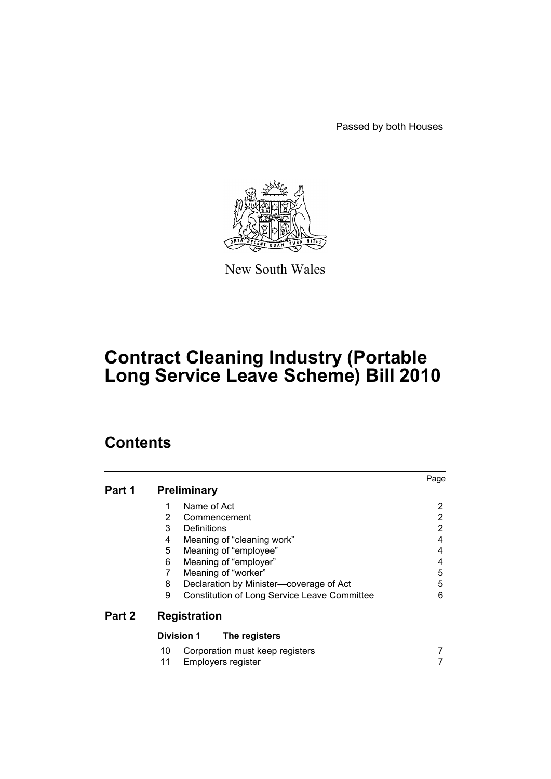Passed by both Houses



New South Wales

# **Contract Cleaning Industry (Portable Long Service Leave Scheme) Bill 2010**

# **Contents**

|        |                                                   | Page |  |
|--------|---------------------------------------------------|------|--|
| Part 1 | <b>Preliminary</b>                                |      |  |
|        | Name of Act<br>1                                  | 2    |  |
|        | $\overline{2}$<br>Commencement                    | 2    |  |
|        | 3<br><b>Definitions</b>                           | 2    |  |
|        | 4<br>Meaning of "cleaning work"                   | 4    |  |
|        | 5<br>Meaning of "employee"                        | 4    |  |
|        | 6<br>Meaning of "employer"                        | 4    |  |
|        | Meaning of "worker"<br>7                          | 5    |  |
|        | 8<br>Declaration by Minister-coverage of Act      | 5    |  |
|        | 9<br>Constitution of Long Service Leave Committee | 6    |  |
| Part 2 | <b>Registration</b>                               |      |  |
|        | <b>Division 1</b><br>The registers                |      |  |
|        | Corporation must keep registers<br>10.            |      |  |
|        | 11<br>Employers register                          |      |  |
|        |                                                   |      |  |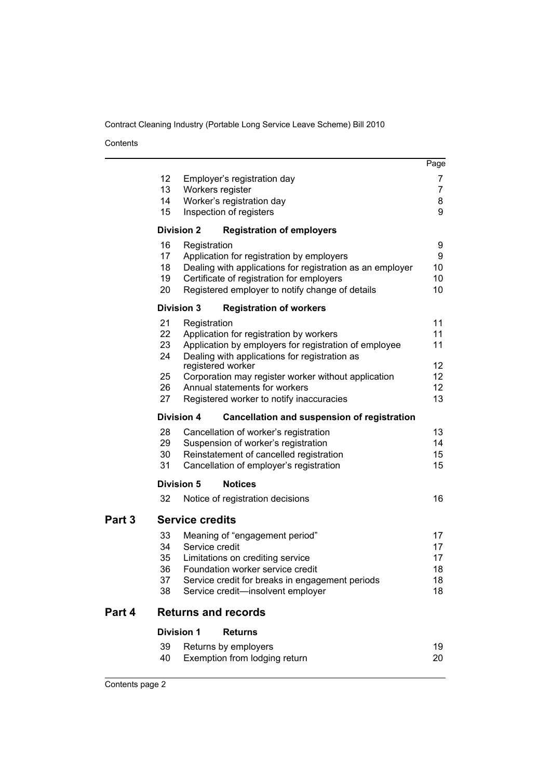Contents

|        |                            |                                                                                                        | Page           |  |  |  |
|--------|----------------------------|--------------------------------------------------------------------------------------------------------|----------------|--|--|--|
|        | 12                         | Employer's registration day                                                                            | 7              |  |  |  |
|        | 13                         | Workers register                                                                                       | $\overline{7}$ |  |  |  |
|        | 14                         | Worker's registration day                                                                              | 8              |  |  |  |
|        | 15                         | Inspection of registers                                                                                | 9              |  |  |  |
|        |                            | <b>Division 2</b><br><b>Registration of employers</b>                                                  |                |  |  |  |
|        | 16                         | Registration                                                                                           | 9              |  |  |  |
|        | 17                         | Application for registration by employers                                                              | 9              |  |  |  |
|        | 18                         | Dealing with applications for registration as an employer                                              | 10             |  |  |  |
|        | 19                         | Certificate of registration for employers                                                              | 10             |  |  |  |
|        | 20                         | Registered employer to notify change of details                                                        | 10             |  |  |  |
|        |                            | <b>Division 3</b><br><b>Registration of workers</b>                                                    |                |  |  |  |
|        | 21                         | Registration                                                                                           | 11             |  |  |  |
|        | 22<br>23                   | Application for registration by workers                                                                | 11             |  |  |  |
|        | 24                         | Application by employers for registration of employee<br>Dealing with applications for registration as | 11             |  |  |  |
|        |                            | registered worker                                                                                      | 12             |  |  |  |
|        | 25                         | Corporation may register worker without application                                                    | 12             |  |  |  |
|        | 26                         | Annual statements for workers                                                                          | 12             |  |  |  |
|        | 27                         | Registered worker to notify inaccuracies                                                               | 13             |  |  |  |
|        |                            | <b>Division 4</b><br>Cancellation and suspension of registration                                       |                |  |  |  |
|        | 28                         | Cancellation of worker's registration                                                                  | 13             |  |  |  |
|        | 29                         | Suspension of worker's registration                                                                    | 14             |  |  |  |
|        | 30                         | Reinstatement of cancelled registration                                                                | 15             |  |  |  |
|        | 31                         | Cancellation of employer's registration                                                                | 15             |  |  |  |
|        |                            | <b>Division 5</b><br><b>Notices</b>                                                                    |                |  |  |  |
|        | 32                         | Notice of registration decisions                                                                       | 16             |  |  |  |
| Part 3 |                            | <b>Service credits</b>                                                                                 |                |  |  |  |
|        | 33                         | Meaning of "engagement period"                                                                         | 17             |  |  |  |
|        | 34                         | Service credit                                                                                         | 17             |  |  |  |
|        | 35                         | Limitations on crediting service                                                                       | 17             |  |  |  |
|        | 36                         | Foundation worker service credit                                                                       | 18             |  |  |  |
|        | 37<br>38                   | Service credit for breaks in engagement periods<br>Service credit-insolvent employer                   | 18<br>18       |  |  |  |
|        |                            |                                                                                                        |                |  |  |  |
| Part 4 | <b>Returns and records</b> |                                                                                                        |                |  |  |  |
|        |                            | <b>Division 1</b><br><b>Returns</b>                                                                    |                |  |  |  |
|        | 39                         | Returns by employers                                                                                   | 19             |  |  |  |
|        | 40                         | Exemption from lodging return                                                                          | 20             |  |  |  |
|        |                            |                                                                                                        |                |  |  |  |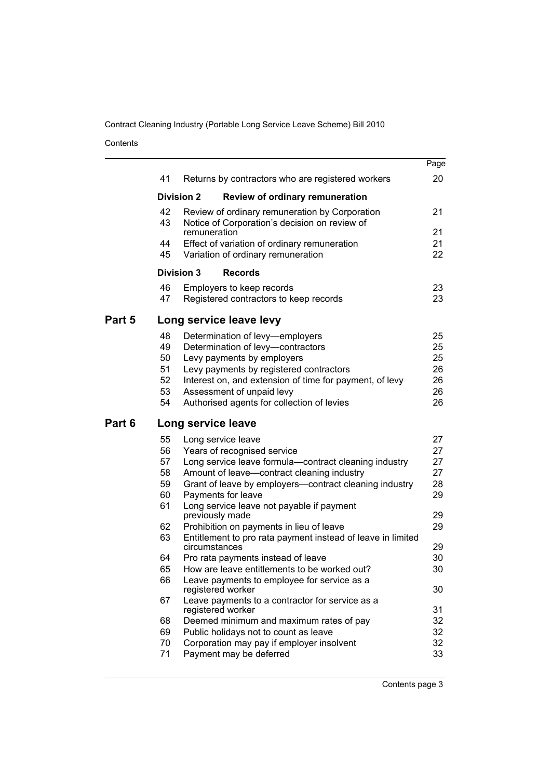Contents

|        |          |                                                                              | Page     |
|--------|----------|------------------------------------------------------------------------------|----------|
|        | 41       | Returns by contractors who are registered workers                            | 20       |
|        |          | <b>Division 2</b><br><b>Review of ordinary remuneration</b>                  |          |
|        | 42       | Review of ordinary remuneration by Corporation                               | 21       |
|        | 43       | Notice of Corporation's decision on review of<br>remuneration                | 21       |
|        | 44       | Effect of variation of ordinary remuneration                                 | 21       |
|        | 45       | Variation of ordinary remuneration                                           | 22       |
|        |          | <b>Division 3</b><br><b>Records</b>                                          |          |
|        | 46       | Employers to keep records                                                    | 23       |
|        | 47       | Registered contractors to keep records                                       | 23       |
| Part 5 |          | Long service leave levy                                                      |          |
|        | 48       | Determination of levy-employers                                              | 25       |
|        | 49       | Determination of levy-contractors                                            | 25       |
|        | 50       | Levy payments by employers                                                   | 25       |
|        | 51       | Levy payments by registered contractors                                      | 26       |
|        | 52       | Interest on, and extension of time for payment, of levy                      | 26       |
|        | 53<br>54 | Assessment of unpaid levy<br>Authorised agents for collection of levies      | 26<br>26 |
|        |          |                                                                              |          |
| Part 6 |          | Long service leave                                                           |          |
|        | 55       | Long service leave                                                           | 27       |
|        | 56       | Years of recognised service                                                  | 27       |
|        | 57       | Long service leave formula-contract cleaning industry                        | 27       |
|        | 58       | Amount of leave-contract cleaning industry                                   | 27       |
|        | 59<br>60 | Grant of leave by employers-contract cleaning industry<br>Payments for leave | 28<br>29 |
|        | 61       | Long service leave not payable if payment                                    |          |
|        |          | previously made                                                              | 29       |
|        | 62       | Prohibition on payments in lieu of leave                                     | 29       |
|        | 63       | Entitlement to pro rata payment instead of leave in limited<br>circumstances | 29       |
|        | 64       | Pro rata payments instead of leave                                           | 30       |
|        | 65       | How are leave entitlements to be worked out?                                 | 30       |
|        | 66       | Leave payments to employee for service as a<br>registered worker             | 30       |
|        | 67       | Leave payments to a contractor for service as a<br>registered worker         | 31       |
|        | 68       | Deemed minimum and maximum rates of pay                                      | 32       |
|        |          | Public holidays not to count as leave                                        | 32       |
|        | 69       |                                                                              |          |
|        | 70       | Corporation may pay if employer insolvent                                    | 32       |
|        | 71       | Payment may be deferred                                                      | 33       |

Contents page 3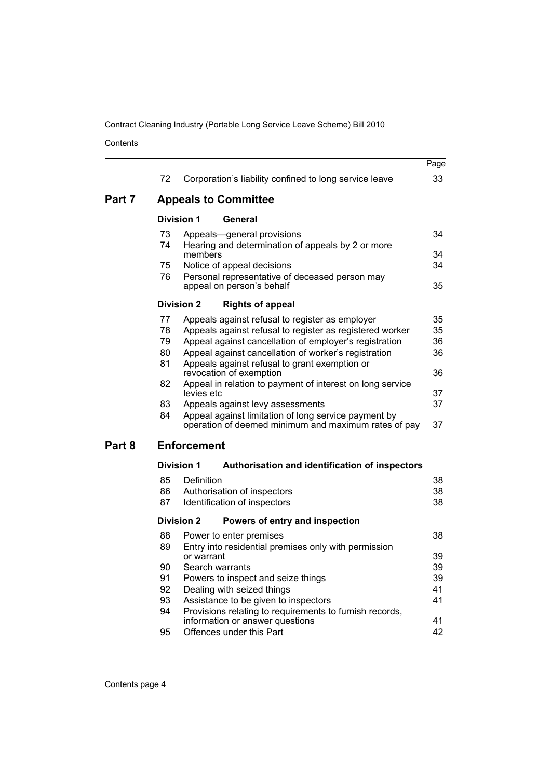Contents

|        |    |                                                                                                              | Page |
|--------|----|--------------------------------------------------------------------------------------------------------------|------|
|        | 72 | Corporation's liability confined to long service leave                                                       | 33   |
| Part 7 |    | <b>Appeals to Committee</b>                                                                                  |      |
|        |    | <b>Division 1</b><br>General                                                                                 |      |
|        | 73 | Appeals-general provisions                                                                                   | 34   |
|        | 74 | Hearing and determination of appeals by 2 or more<br>members                                                 | 34   |
|        | 75 | Notice of appeal decisions                                                                                   | 34   |
|        | 76 | Personal representative of deceased person may<br>appeal on person's behalf                                  | 35   |
|        |    | <b>Division 2</b><br><b>Rights of appeal</b>                                                                 |      |
|        | 77 | Appeals against refusal to register as employer                                                              | 35   |
|        | 78 | Appeals against refusal to register as registered worker                                                     | 35   |
|        | 79 | Appeal against cancellation of employer's registration                                                       | 36   |
|        | 80 | Appeal against cancellation of worker's registration                                                         | 36   |
|        | 81 | Appeals against refusal to grant exemption or<br>revocation of exemption                                     | 36   |
|        | 82 | Appeal in relation to payment of interest on long service<br>levies etc                                      | 37   |
|        | 83 | Appeals against levy assessments                                                                             | 37   |
|        | 84 | Appeal against limitation of long service payment by<br>operation of deemed minimum and maximum rates of pay | 37   |
| Part 8 |    | <b>Enforcement</b>                                                                                           |      |
|        |    | <b>Division 1</b><br>Authorisation and identification of inspectors                                          |      |
|        | 85 | Definition                                                                                                   | 38   |
|        | 86 | Authorisation of inspectors                                                                                  | 38   |
|        | 87 | Identification of inspectors                                                                                 | 38   |
|        |    | <b>Division 2</b><br>Powers of entry and inspection                                                          |      |
|        | 88 | Power to enter premises                                                                                      | 38   |
|        | 89 | Entry into residential premises only with permission<br>or warrant                                           | 39   |
|        | 90 | Search warrants                                                                                              | 39   |
|        | 91 | Powers to inspect and seize things                                                                           | 39   |
|        | 92 | Dealing with seized things                                                                                   | 41   |
|        | 93 | Assistance to be given to inspectors                                                                         | 41   |
|        | 94 | Provisions relating to requirements to furnish records,<br>information or answer questions                   | 41   |
|        | 95 | Offences under this Part                                                                                     | 42   |
|        |    |                                                                                                              |      |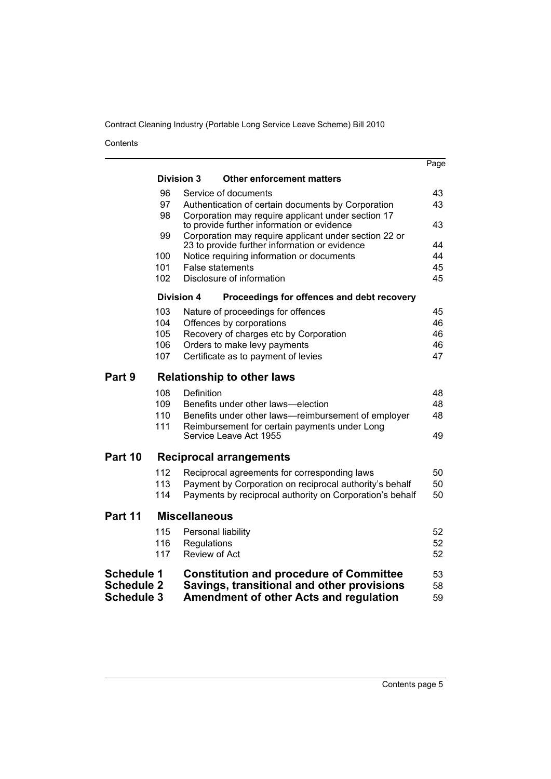Contents

|                   |                      |                                                                                                  |                                                                                                        | Page |  |  |
|-------------------|----------------------|--------------------------------------------------------------------------------------------------|--------------------------------------------------------------------------------------------------------|------|--|--|
|                   |                      | <b>Division 3</b>                                                                                | <b>Other enforcement matters</b>                                                                       |      |  |  |
|                   | 96                   |                                                                                                  | Service of documents                                                                                   | 43   |  |  |
|                   | 97                   |                                                                                                  | Authentication of certain documents by Corporation                                                     | 43   |  |  |
|                   | 98                   | Corporation may require applicant under section 17<br>to provide further information or evidence |                                                                                                        |      |  |  |
|                   | 99                   |                                                                                                  | Corporation may require applicant under section 22 or<br>23 to provide further information or evidence | 44   |  |  |
|                   | 100                  |                                                                                                  | Notice requiring information or documents                                                              | 44   |  |  |
|                   | 101                  |                                                                                                  | <b>False statements</b>                                                                                | 45   |  |  |
|                   | 102                  |                                                                                                  | Disclosure of information                                                                              | 45   |  |  |
|                   | <b>Division 4</b>    |                                                                                                  | Proceedings for offences and debt recovery                                                             |      |  |  |
|                   | 103                  |                                                                                                  | Nature of proceedings for offences                                                                     | 45   |  |  |
|                   | 104                  |                                                                                                  | Offences by corporations                                                                               | 46   |  |  |
|                   | 105                  |                                                                                                  | Recovery of charges etc by Corporation                                                                 | 46   |  |  |
|                   | 106                  |                                                                                                  | Orders to make levy payments                                                                           | 46   |  |  |
|                   | 107                  |                                                                                                  | Certificate as to payment of levies                                                                    | 47   |  |  |
| Part 9            |                      |                                                                                                  | <b>Relationship to other laws</b>                                                                      |      |  |  |
|                   | 108                  | <b>Definition</b>                                                                                |                                                                                                        | 48   |  |  |
|                   | 109                  |                                                                                                  | Benefits under other laws-election                                                                     | 48   |  |  |
|                   | 110                  |                                                                                                  | Benefits under other laws-reimbursement of employer                                                    | 48   |  |  |
|                   | 111                  |                                                                                                  | Reimbursement for certain payments under Long<br>Service Leave Act 1955                                | 49   |  |  |
|                   |                      |                                                                                                  |                                                                                                        |      |  |  |
| Part 10           |                      |                                                                                                  | <b>Reciprocal arrangements</b>                                                                         |      |  |  |
|                   | 112                  |                                                                                                  | Reciprocal agreements for corresponding laws                                                           | 50   |  |  |
|                   | 113                  |                                                                                                  | Payment by Corporation on reciprocal authority's behalf                                                | 50   |  |  |
|                   | 114                  |                                                                                                  | Payments by reciprocal authority on Corporation's behalf                                               | 50   |  |  |
| Part 11           | <b>Miscellaneous</b> |                                                                                                  |                                                                                                        |      |  |  |
|                   | 115                  | Personal liability                                                                               |                                                                                                        | 52   |  |  |
|                   | 116                  | Regulations                                                                                      |                                                                                                        | 52   |  |  |
|                   | 117                  | Review of Act                                                                                    |                                                                                                        | 52   |  |  |
| <b>Schedule 1</b> |                      |                                                                                                  | <b>Constitution and procedure of Committee</b>                                                         | 53   |  |  |
| <b>Schedule 2</b> |                      |                                                                                                  | Savings, transitional and other provisions                                                             | 58   |  |  |
| <b>Schedule 3</b> |                      |                                                                                                  | Amendment of other Acts and regulation                                                                 | 59   |  |  |
|                   |                      |                                                                                                  |                                                                                                        |      |  |  |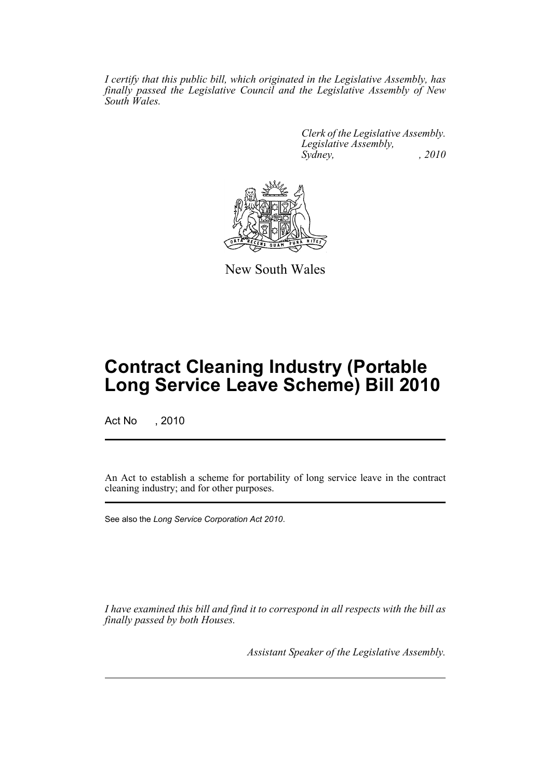*I certify that this public bill, which originated in the Legislative Assembly, has finally passed the Legislative Council and the Legislative Assembly of New South Wales.*

> *Clerk of the Legislative Assembly. Legislative Assembly, Sydney, , 2010*



New South Wales

# **Contract Cleaning Industry (Portable Long Service Leave Scheme) Bill 2010**

Act No , 2010

An Act to establish a scheme for portability of long service leave in the contract cleaning industry; and for other purposes.

See also the *Long Service Corporation Act 2010*.

*I have examined this bill and find it to correspond in all respects with the bill as finally passed by both Houses.*

*Assistant Speaker of the Legislative Assembly.*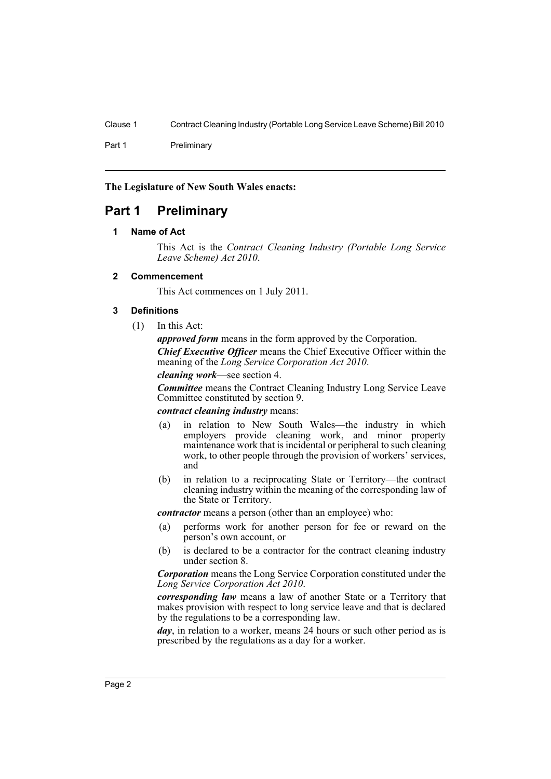Part 1 Preliminary

**The Legislature of New South Wales enacts:**

# <span id="page-7-1"></span><span id="page-7-0"></span>**Part 1 Preliminary**

# **1 Name of Act**

This Act is the *Contract Cleaning Industry (Portable Long Service Leave Scheme) Act 2010*.

# <span id="page-7-2"></span>**2 Commencement**

This Act commences on 1 July 2011.

# <span id="page-7-3"></span>**3 Definitions**

(1) In this Act:

*approved form* means in the form approved by the Corporation. *Chief Executive Officer* means the Chief Executive Officer within the meaning of the *Long Service Corporation Act 2010*.

*cleaning work*—see section 4.

*Committee* means the Contract Cleaning Industry Long Service Leave Committee constituted by section 9.

#### *contract cleaning industry* means:

- (a) in relation to New South Wales—the industry in which employers provide cleaning work, and minor property maintenance work that is incidental or peripheral to such cleaning work, to other people through the provision of workers' services, and
- (b) in relation to a reciprocating State or Territory—the contract cleaning industry within the meaning of the corresponding law of the State or Territory.

*contractor* means a person (other than an employee) who:

- (a) performs work for another person for fee or reward on the person's own account, or
- (b) is declared to be a contractor for the contract cleaning industry under section 8.

*Corporation* means the Long Service Corporation constituted under the *Long Service Corporation Act 2010*.

*corresponding law* means a law of another State or a Territory that makes provision with respect to long service leave and that is declared by the regulations to be a corresponding law.

*day*, in relation to a worker, means 24 hours or such other period as is prescribed by the regulations as a day for a worker.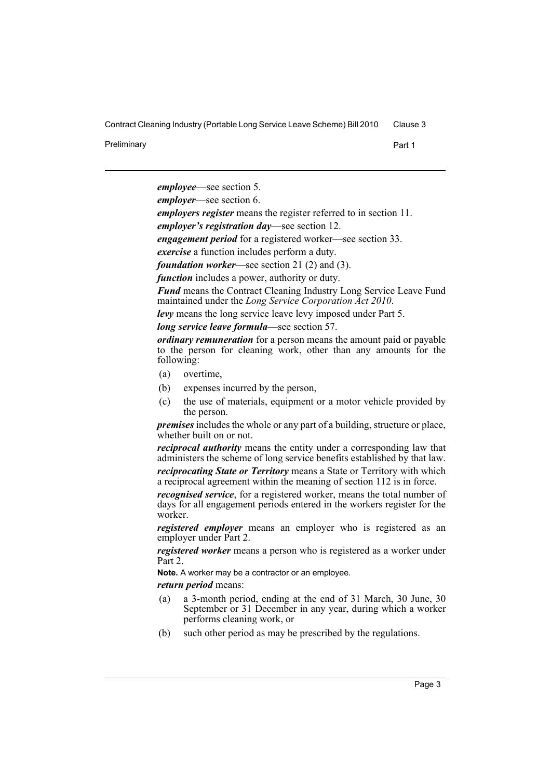Preliminary **Preliminary** Part 1

*employee*—see section 5.

*employer*—see section 6.

*employers register* means the register referred to in section 11.

*employer's registration day*—see section 12.

*engagement period* for a registered worker—see section 33.

*exercise* a function includes perform a duty.

*foundation worker*—see section 21 (2) and (3).

*function* includes a power, authority or duty.

*Fund* means the Contract Cleaning Industry Long Service Leave Fund maintained under the *Long Service Corporation Act 2010*.

*levy* means the long service leave levy imposed under Part 5.

*long service leave formula*—see section 57.

*ordinary remuneration* for a person means the amount paid or payable to the person for cleaning work, other than any amounts for the following:

- (a) overtime,
- (b) expenses incurred by the person,
- (c) the use of materials, equipment or a motor vehicle provided by the person.

*premises* includes the whole or any part of a building, structure or place, whether built on or not.

*reciprocal authority* means the entity under a corresponding law that administers the scheme of long service benefits established by that law.

*reciprocating State or Territory* means a State or Territory with which a reciprocal agreement within the meaning of section 112 is in force.

*recognised service*, for a registered worker, means the total number of days for all engagement periods entered in the workers register for the worker.

*registered employer* means an employer who is registered as an employer under Part 2.

*registered worker* means a person who is registered as a worker under Part 2.

**Note.** A worker may be a contractor or an employee.

*return period* means:

- (a) a 3-month period, ending at the end of 31 March, 30 June, 30 September or 31 December in any year, during which a worker performs cleaning work, or
- (b) such other period as may be prescribed by the regulations.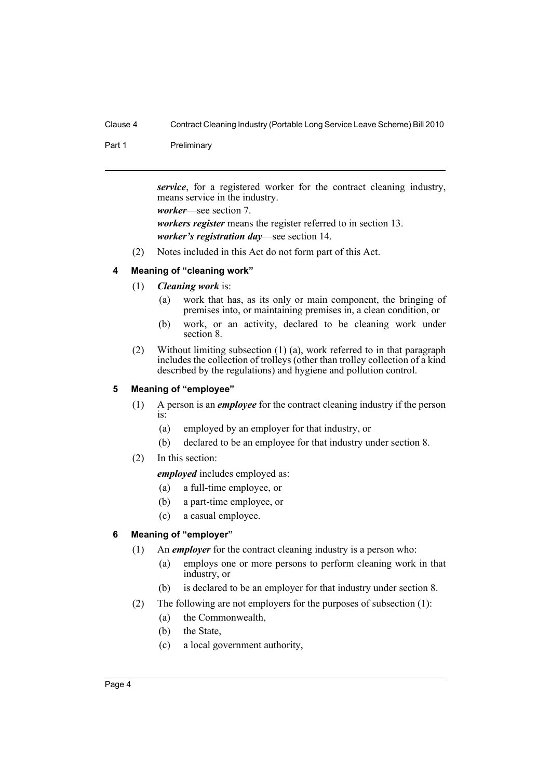Part 1 Preliminary

*service*, for a registered worker for the contract cleaning industry, means service in the industry. *worker*—see section 7. *workers register* means the register referred to in section 13. *worker's registration day*—see section 14.

(2) Notes included in this Act do not form part of this Act.

# <span id="page-9-0"></span>**4 Meaning of "cleaning work"**

- (1) *Cleaning work* is:
	- (a) work that has, as its only or main component, the bringing of premises into, or maintaining premises in, a clean condition, or
	- (b) work, or an activity, declared to be cleaning work under section 8.
- (2) Without limiting subsection (1) (a), work referred to in that paragraph includes the collection of trolleys (other than trolley collection of a kind described by the regulations) and hygiene and pollution control.

# <span id="page-9-1"></span>**5 Meaning of "employee"**

- (1) A person is an *employee* for the contract cleaning industry if the person is:
	- (a) employed by an employer for that industry, or
	- (b) declared to be an employee for that industry under section 8.
- (2) In this section:

*employed* includes employed as:

- (a) a full-time employee, or
- (b) a part-time employee, or
- (c) a casual employee.

# <span id="page-9-2"></span>**6 Meaning of "employer"**

- (1) An *employer* for the contract cleaning industry is a person who:
	- (a) employs one or more persons to perform cleaning work in that industry, or
	- (b) is declared to be an employer for that industry under section 8.
- (2) The following are not employers for the purposes of subsection (1):
	- (a) the Commonwealth,
	- (b) the State,
	- (c) a local government authority,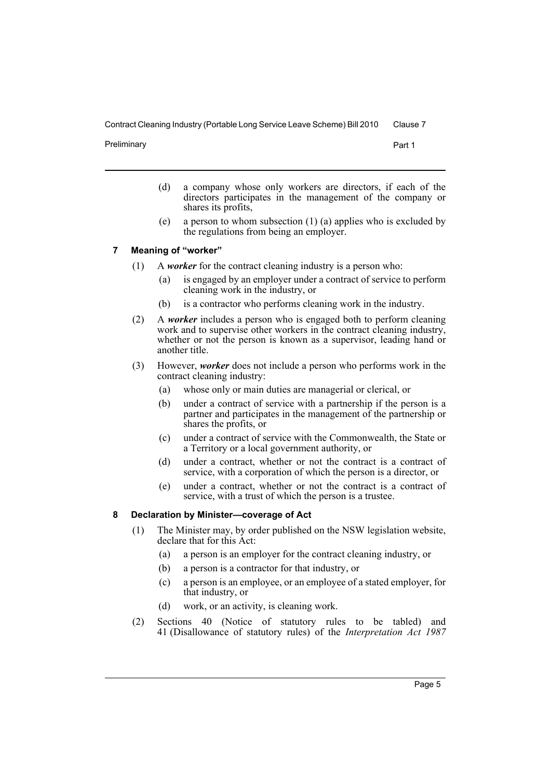Preliminary **Preliminary** Part 1

- (d) a company whose only workers are directors, if each of the directors participates in the management of the company or shares its profits,
- (e) a person to whom subsection (1) (a) applies who is excluded by the regulations from being an employer.

# <span id="page-10-0"></span>**7 Meaning of "worker"**

- (1) A *worker* for the contract cleaning industry is a person who:
	- (a) is engaged by an employer under a contract of service to perform cleaning work in the industry, or
	- (b) is a contractor who performs cleaning work in the industry.
- (2) A *worker* includes a person who is engaged both to perform cleaning work and to supervise other workers in the contract cleaning industry, whether or not the person is known as a supervisor, leading hand or another title.
- (3) However, *worker* does not include a person who performs work in the contract cleaning industry:
	- (a) whose only or main duties are managerial or clerical, or
	- (b) under a contract of service with a partnership if the person is a partner and participates in the management of the partnership or shares the profits, or
	- (c) under a contract of service with the Commonwealth, the State or a Territory or a local government authority, or
	- (d) under a contract, whether or not the contract is a contract of service, with a corporation of which the person is a director, or
	- (e) under a contract, whether or not the contract is a contract of service, with a trust of which the person is a trustee.

# <span id="page-10-1"></span>**8 Declaration by Minister—coverage of Act**

- (1) The Minister may, by order published on the NSW legislation website, declare that for this Act:
	- (a) a person is an employer for the contract cleaning industry, or
	- (b) a person is a contractor for that industry, or
	- (c) a person is an employee, or an employee of a stated employer, for that industry, or
	- (d) work, or an activity, is cleaning work.
- (2) Sections 40 (Notice of statutory rules to be tabled) and 41 (Disallowance of statutory rules) of the *Interpretation Act 1987*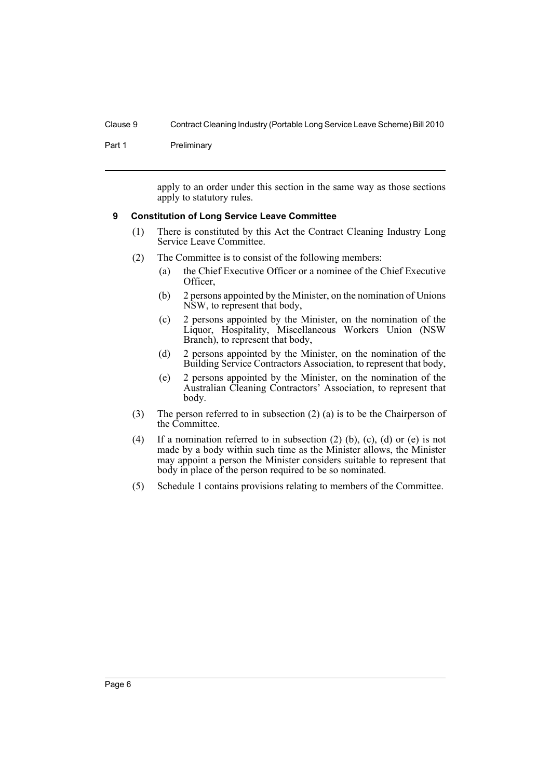Part 1 Preliminary

apply to an order under this section in the same way as those sections apply to statutory rules.

#### <span id="page-11-0"></span>**9 Constitution of Long Service Leave Committee**

- (1) There is constituted by this Act the Contract Cleaning Industry Long Service Leave Committee.
- (2) The Committee is to consist of the following members:
	- (a) the Chief Executive Officer or a nominee of the Chief Executive Officer,
	- (b) 2 persons appointed by the Minister, on the nomination of Unions NSW, to represent that body,
	- (c) 2 persons appointed by the Minister, on the nomination of the Liquor, Hospitality, Miscellaneous Workers Union (NSW Branch), to represent that body,
	- (d) 2 persons appointed by the Minister, on the nomination of the Building Service Contractors Association, to represent that body,
	- (e) 2 persons appointed by the Minister, on the nomination of the Australian Cleaning Contractors' Association, to represent that body.
- (3) The person referred to in subsection (2) (a) is to be the Chairperson of the Committee.
- (4) If a nomination referred to in subsection (2) (b), (c), (d) or (e) is not made by a body within such time as the Minister allows, the Minister may appoint a person the Minister considers suitable to represent that body in place of the person required to be so nominated.
- (5) Schedule 1 contains provisions relating to members of the Committee.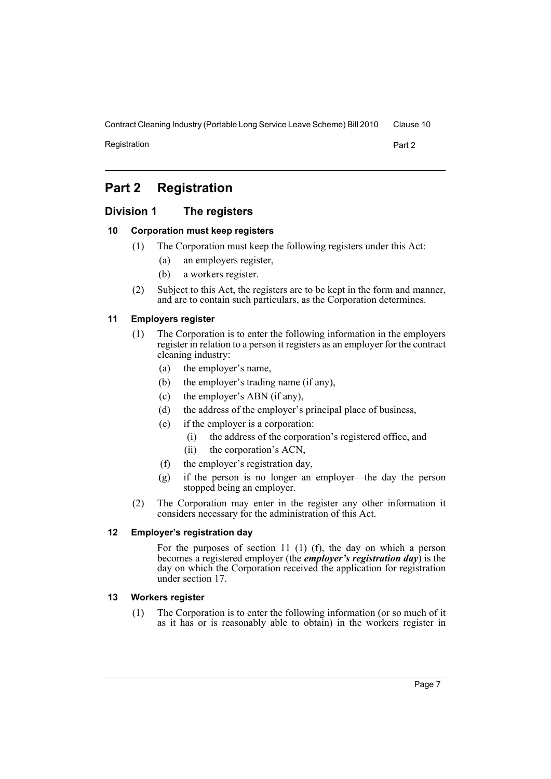Registration **Part 2** 

# <span id="page-12-0"></span>**Part 2 Registration**

# <span id="page-12-1"></span>**Division 1 The registers**

# <span id="page-12-2"></span>**10 Corporation must keep registers**

- (1) The Corporation must keep the following registers under this Act:
	- (a) an employers register,
	- (b) a workers register.
- (2) Subject to this Act, the registers are to be kept in the form and manner, and are to contain such particulars, as the Corporation determines.

#### <span id="page-12-3"></span>**11 Employers register**

- (1) The Corporation is to enter the following information in the employers register in relation to a person it registers as an employer for the contract cleaning industry:
	- (a) the employer's name,
	- (b) the employer's trading name (if any),
	- (c) the employer's ABN (if any),
	- (d) the address of the employer's principal place of business,
	- (e) if the employer is a corporation:
		- (i) the address of the corporation's registered office, and
		- (ii) the corporation's ACN,
	- (f) the employer's registration day,
	- (g) if the person is no longer an employer—the day the person stopped being an employer.
- (2) The Corporation may enter in the register any other information it considers necessary for the administration of this Act.

# <span id="page-12-4"></span>**12 Employer's registration day**

For the purposes of section 11 (1) (f), the day on which a person becomes a registered employer (the *employer's registration day*) is the day on which the Corporation received the application for registration under section 17.

# <span id="page-12-5"></span>**13 Workers register**

(1) The Corporation is to enter the following information (or so much of it as it has or is reasonably able to obtain) in the workers register in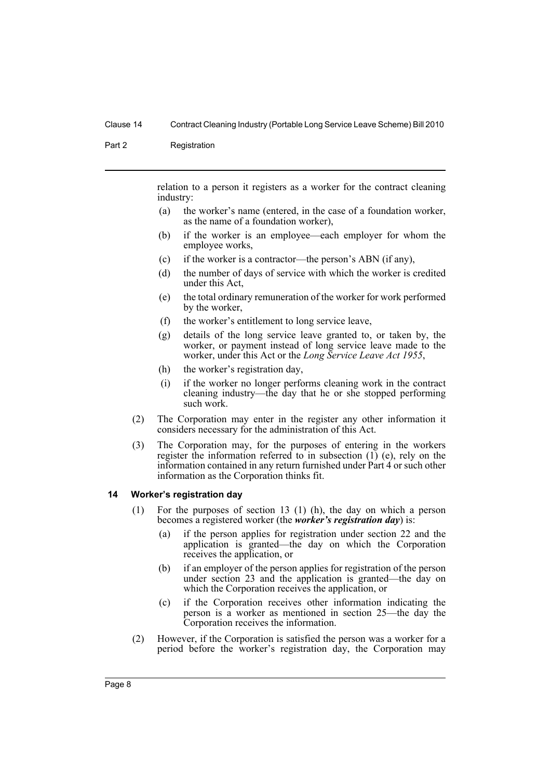#### Part 2 Registration

relation to a person it registers as a worker for the contract cleaning industry:

- (a) the worker's name (entered, in the case of a foundation worker, as the name of a foundation worker),
- (b) if the worker is an employee—each employer for whom the employee works,
- (c) if the worker is a contractor—the person's ABN (if any),
- (d) the number of days of service with which the worker is credited under this Act,
- (e) the total ordinary remuneration of the worker for work performed by the worker,
- (f) the worker's entitlement to long service leave,
- (g) details of the long service leave granted to, or taken by, the worker, or payment instead of long service leave made to the worker, under this Act or the *Long Service Leave Act 1955*,
- (h) the worker's registration day,
- (i) if the worker no longer performs cleaning work in the contract cleaning industry—the day that he or she stopped performing such work.
- (2) The Corporation may enter in the register any other information it considers necessary for the administration of this Act.
- (3) The Corporation may, for the purposes of entering in the workers register the information referred to in subsection  $(I)$  (e), rely on the information contained in any return furnished under Part 4 or such other information as the Corporation thinks fit.

#### <span id="page-13-0"></span>**14 Worker's registration day**

- (1) For the purposes of section 13 (1) (h), the day on which a person becomes a registered worker (the *worker's registration day*) is:
	- (a) if the person applies for registration under section 22 and the application is granted—the day on which the Corporation receives the application, or
	- (b) if an employer of the person applies for registration of the person under section 23 and the application is granted—the day on which the Corporation receives the application, or
	- (c) if the Corporation receives other information indicating the person is a worker as mentioned in section 25—the day the Corporation receives the information.
- (2) However, if the Corporation is satisfied the person was a worker for a period before the worker's registration day, the Corporation may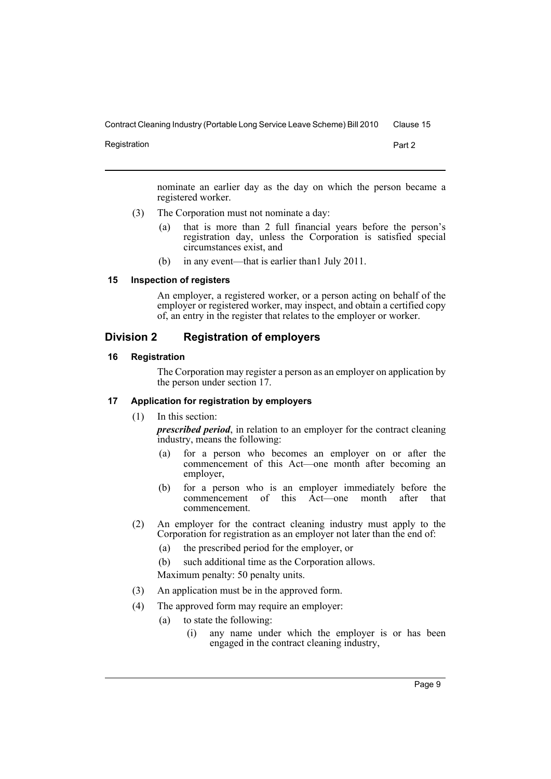Registration **Part 2** 

nominate an earlier day as the day on which the person became a registered worker.

- (3) The Corporation must not nominate a day:
	- (a) that is more than 2 full financial years before the person's registration day, unless the Corporation is satisfied special circumstances exist, and
	- (b) in any event—that is earlier than1 July 2011.

<span id="page-14-0"></span>**15 Inspection of registers**

An employer, a registered worker, or a person acting on behalf of the employer or registered worker, may inspect, and obtain a certified copy of, an entry in the register that relates to the employer or worker.

# <span id="page-14-1"></span>**Division 2 Registration of employers**

### <span id="page-14-2"></span>**16 Registration**

The Corporation may register a person as an employer on application by the person under section 17.

# <span id="page-14-3"></span>**17 Application for registration by employers**

(1) In this section:

*prescribed period*, in relation to an employer for the contract cleaning industry, means the following:

- (a) for a person who becomes an employer on or after the commencement of this Act—one month after becoming an employer,
- (b) for a person who is an employer immediately before the commencement of this Act—one month after that commencement.
- (2) An employer for the contract cleaning industry must apply to the Corporation for registration as an employer not later than the end of:
	- (a) the prescribed period for the employer, or
	- (b) such additional time as the Corporation allows.

Maximum penalty: 50 penalty units.

- (3) An application must be in the approved form.
- (4) The approved form may require an employer:
	- (a) to state the following:
		- (i) any name under which the employer is or has been engaged in the contract cleaning industry,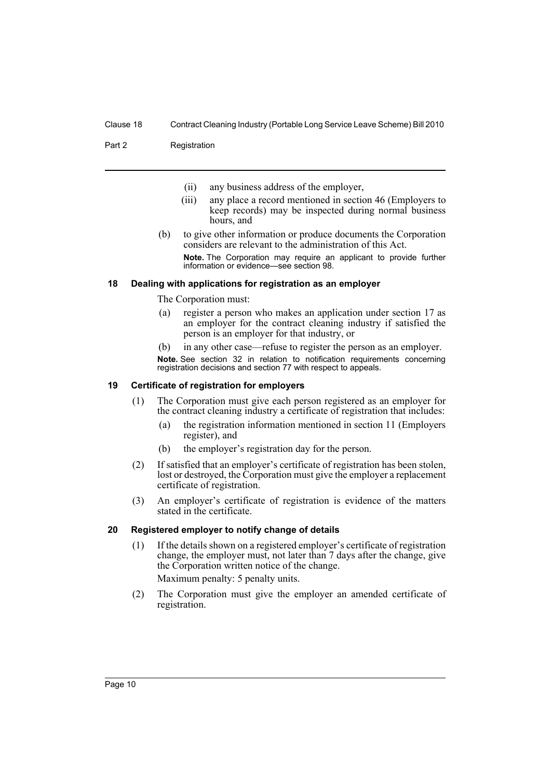Part 2 Registration

- (ii) any business address of the employer,
- (iii) any place a record mentioned in section 46 (Employers to keep records) may be inspected during normal business hours, and
- (b) to give other information or produce documents the Corporation considers are relevant to the administration of this Act.
	- **Note.** The Corporation may require an applicant to provide further information or evidence—see section 98.

#### <span id="page-15-0"></span>**18 Dealing with applications for registration as an employer**

The Corporation must:

- (a) register a person who makes an application under section 17 as an employer for the contract cleaning industry if satisfied the person is an employer for that industry, or
- (b) in any other case—refuse to register the person as an employer.

**Note.** See section 32 in relation to notification requirements concerning registration decisions and section 77 with respect to appeals.

# <span id="page-15-1"></span>**19 Certificate of registration for employers**

- (1) The Corporation must give each person registered as an employer for the contract cleaning industry a certificate of registration that includes:
	- (a) the registration information mentioned in section 11 (Employers register), and
	- (b) the employer's registration day for the person.
- (2) If satisfied that an employer's certificate of registration has been stolen, lost or destroyed, the Corporation must give the employer a replacement certificate of registration.
- (3) An employer's certificate of registration is evidence of the matters stated in the certificate.

#### <span id="page-15-2"></span>**20 Registered employer to notify change of details**

- (1) If the details shown on a registered employer's certificate of registration change, the employer must, not later than 7 days after the change, give the Corporation written notice of the change. Maximum penalty: 5 penalty units.
- (2) The Corporation must give the employer an amended certificate of registration.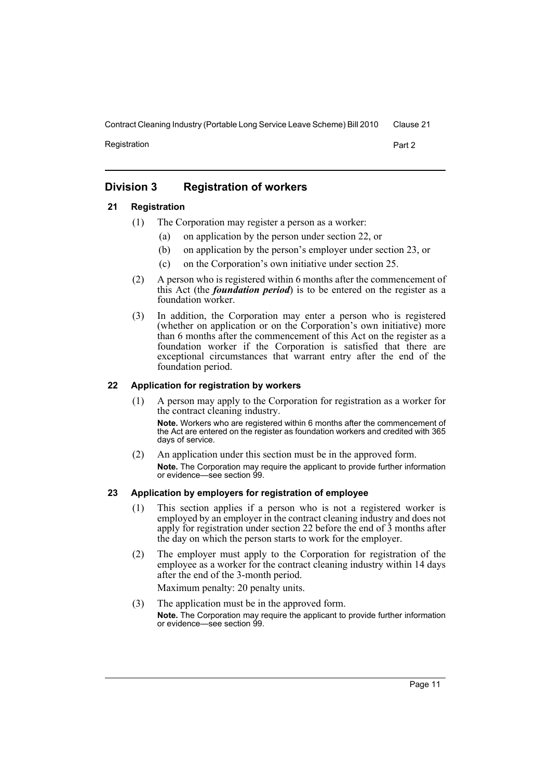Registration **Part 2** 

# <span id="page-16-0"></span>**Division 3 Registration of workers**

# <span id="page-16-1"></span>**21 Registration**

- (1) The Corporation may register a person as a worker:
	- (a) on application by the person under section 22, or
	- (b) on application by the person's employer under section 23, or
	- (c) on the Corporation's own initiative under section 25.
- (2) A person who is registered within 6 months after the commencement of this Act (the *foundation period*) is to be entered on the register as a foundation worker.
- (3) In addition, the Corporation may enter a person who is registered (whether on application or on the Corporation's own initiative) more than 6 months after the commencement of this Act on the register as a foundation worker if the Corporation is satisfied that there are exceptional circumstances that warrant entry after the end of the foundation period.

# <span id="page-16-2"></span>**22 Application for registration by workers**

- (1) A person may apply to the Corporation for registration as a worker for the contract cleaning industry. **Note.** Workers who are registered within 6 months after the commencement of the Act are entered on the register as foundation workers and credited with 365 days of service.
- (2) An application under this section must be in the approved form. **Note.** The Corporation may require the applicant to provide further information or evidence—see section 99.

#### <span id="page-16-3"></span>**23 Application by employers for registration of employee**

- (1) This section applies if a person who is not a registered worker is employed by an employer in the contract cleaning industry and does not apply for registration under section 22 before the end of 3 months after the day on which the person starts to work for the employer.
- (2) The employer must apply to the Corporation for registration of the employee as a worker for the contract cleaning industry within 14 days after the end of the 3-month period.

Maximum penalty: 20 penalty units.

(3) The application must be in the approved form. **Note.** The Corporation may require the applicant to provide further information or evidence—see section 99.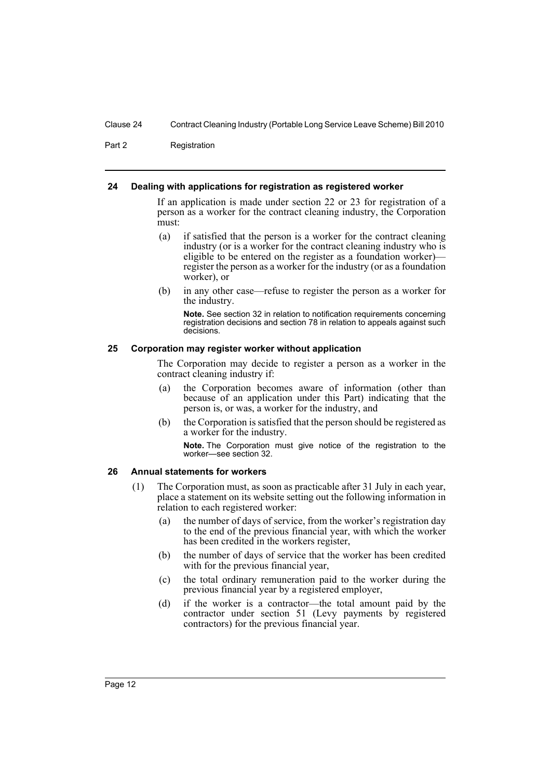Part 2 Registration

#### <span id="page-17-0"></span>**24 Dealing with applications for registration as registered worker**

If an application is made under section 22 or 23 for registration of a person as a worker for the contract cleaning industry, the Corporation must:

- (a) if satisfied that the person is a worker for the contract cleaning industry (or is a worker for the contract cleaning industry who is eligible to be entered on the register as a foundation worker) register the person as a worker for the industry (or as a foundation worker), or
- (b) in any other case—refuse to register the person as a worker for the industry.

**Note.** See section 32 in relation to notification requirements concerning registration decisions and section 78 in relation to appeals against such decisions.

#### <span id="page-17-1"></span>**25 Corporation may register worker without application**

The Corporation may decide to register a person as a worker in the contract cleaning industry if:

- (a) the Corporation becomes aware of information (other than because of an application under this Part) indicating that the person is, or was, a worker for the industry, and
- (b) the Corporation is satisfied that the person should be registered as a worker for the industry.

**Note.** The Corporation must give notice of the registration to the worker—see section 32.

### <span id="page-17-2"></span>**26 Annual statements for workers**

- (1) The Corporation must, as soon as practicable after 31 July in each year, place a statement on its website setting out the following information in relation to each registered worker:
	- (a) the number of days of service, from the worker's registration day to the end of the previous financial year, with which the worker has been credited in the workers register,
	- (b) the number of days of service that the worker has been credited with for the previous financial year,
	- (c) the total ordinary remuneration paid to the worker during the previous financial year by a registered employer,
	- (d) if the worker is a contractor—the total amount paid by the contractor under section 51 (Levy payments by registered contractors) for the previous financial year.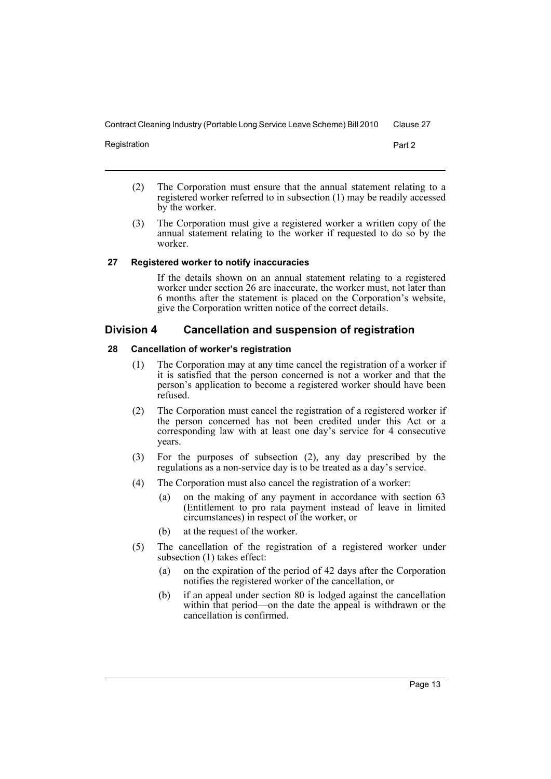Registration **Part 2** 

- (2) The Corporation must ensure that the annual statement relating to a registered worker referred to in subsection (1) may be readily accessed by the worker.
- (3) The Corporation must give a registered worker a written copy of the annual statement relating to the worker if requested to do so by the worker.

#### <span id="page-18-0"></span>**27 Registered worker to notify inaccuracies**

If the details shown on an annual statement relating to a registered worker under section 26 are inaccurate, the worker must, not later than 6 months after the statement is placed on the Corporation's website, give the Corporation written notice of the correct details.

# <span id="page-18-1"></span>**Division 4 Cancellation and suspension of registration**

# <span id="page-18-2"></span>**28 Cancellation of worker's registration**

- (1) The Corporation may at any time cancel the registration of a worker if it is satisfied that the person concerned is not a worker and that the person's application to become a registered worker should have been refused.
- (2) The Corporation must cancel the registration of a registered worker if the person concerned has not been credited under this Act or a corresponding law with at least one day's service for 4 consecutive years.
- (3) For the purposes of subsection (2), any day prescribed by the regulations as a non-service day is to be treated as a day's service.
- (4) The Corporation must also cancel the registration of a worker:
	- (a) on the making of any payment in accordance with section 63 (Entitlement to pro rata payment instead of leave in limited circumstances) in respect of the worker, or
	- (b) at the request of the worker.
- (5) The cancellation of the registration of a registered worker under subsection (1) takes effect:
	- (a) on the expiration of the period of 42 days after the Corporation notifies the registered worker of the cancellation, or
	- (b) if an appeal under section 80 is lodged against the cancellation within that period—on the date the appeal is withdrawn or the cancellation is confirmed.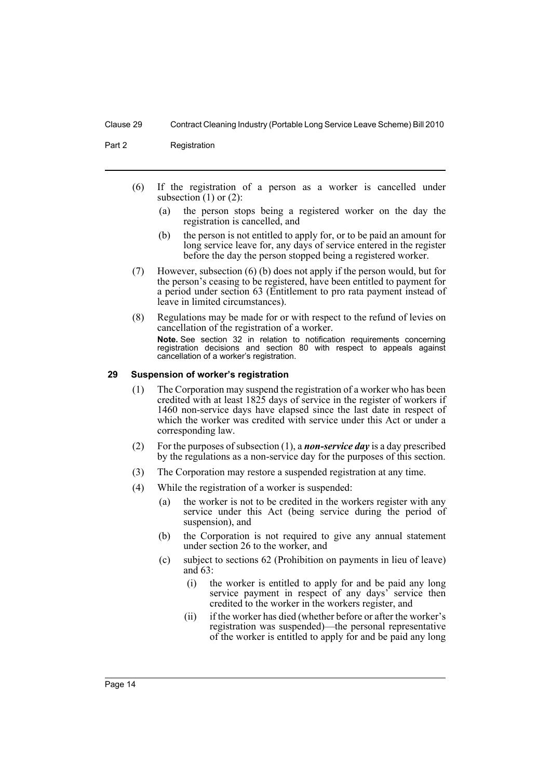Part 2 Registration

- (6) If the registration of a person as a worker is cancelled under subsection  $(1)$  or  $(2)$ :
	- (a) the person stops being a registered worker on the day the registration is cancelled, and
	- (b) the person is not entitled to apply for, or to be paid an amount for long service leave for, any days of service entered in the register before the day the person stopped being a registered worker.
- (7) However, subsection (6) (b) does not apply if the person would, but for the person's ceasing to be registered, have been entitled to payment for a period under section 63 (Entitlement to pro rata payment instead of leave in limited circumstances).
- (8) Regulations may be made for or with respect to the refund of levies on cancellation of the registration of a worker. **Note.** See section 32 in relation to notification requirements concerning registration decisions and section 80 with respect to appeals against cancellation of a worker's registration.

#### <span id="page-19-0"></span>**29 Suspension of worker's registration**

- (1) The Corporation may suspend the registration of a worker who has been credited with at least 1825 days of service in the register of workers if 1460 non-service days have elapsed since the last date in respect of which the worker was credited with service under this Act or under a corresponding law.
- (2) For the purposes of subsection (1), a *non-service day* is a day prescribed by the regulations as a non-service day for the purposes of this section.
- (3) The Corporation may restore a suspended registration at any time.
- (4) While the registration of a worker is suspended:
	- (a) the worker is not to be credited in the workers register with any service under this Act (being service during the period of suspension), and
	- (b) the Corporation is not required to give any annual statement under section 26 to the worker, and
	- (c) subject to sections 62 (Prohibition on payments in lieu of leave) and 63:
		- (i) the worker is entitled to apply for and be paid any long service payment in respect of any days' service then credited to the worker in the workers register, and
		- (ii) if the worker has died (whether before or after the worker's registration was suspended)—the personal representative of the worker is entitled to apply for and be paid any long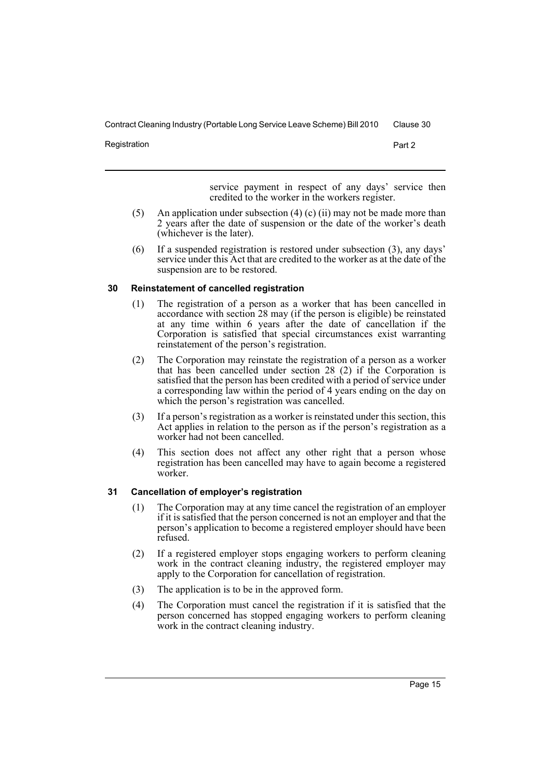Registration **Part 2** 

service payment in respect of any days' service then credited to the worker in the workers register.

- (5) An application under subsection (4) (c) (ii) may not be made more than 2 years after the date of suspension or the date of the worker's death (whichever is the later).
- (6) If a suspended registration is restored under subsection (3), any days' service under this Act that are credited to the worker as at the date of the suspension are to be restored.

# <span id="page-20-0"></span>**30 Reinstatement of cancelled registration**

- (1) The registration of a person as a worker that has been cancelled in accordance with section 28 may (if the person is eligible) be reinstated at any time within 6 years after the date of cancellation if the Corporation is satisfied that special circumstances exist warranting reinstatement of the person's registration.
- (2) The Corporation may reinstate the registration of a person as a worker that has been cancelled under section 28 (2) if the Corporation is satisfied that the person has been credited with a period of service under a corresponding law within the period of 4 years ending on the day on which the person's registration was cancelled.
- (3) If a person's registration as a worker is reinstated under this section, this Act applies in relation to the person as if the person's registration as a worker had not been cancelled.
- (4) This section does not affect any other right that a person whose registration has been cancelled may have to again become a registered worker.

# <span id="page-20-1"></span>**31 Cancellation of employer's registration**

- (1) The Corporation may at any time cancel the registration of an employer if it is satisfied that the person concerned is not an employer and that the person's application to become a registered employer should have been refused.
- (2) If a registered employer stops engaging workers to perform cleaning work in the contract cleaning industry, the registered employer may apply to the Corporation for cancellation of registration.
- (3) The application is to be in the approved form.
- (4) The Corporation must cancel the registration if it is satisfied that the person concerned has stopped engaging workers to perform cleaning work in the contract cleaning industry.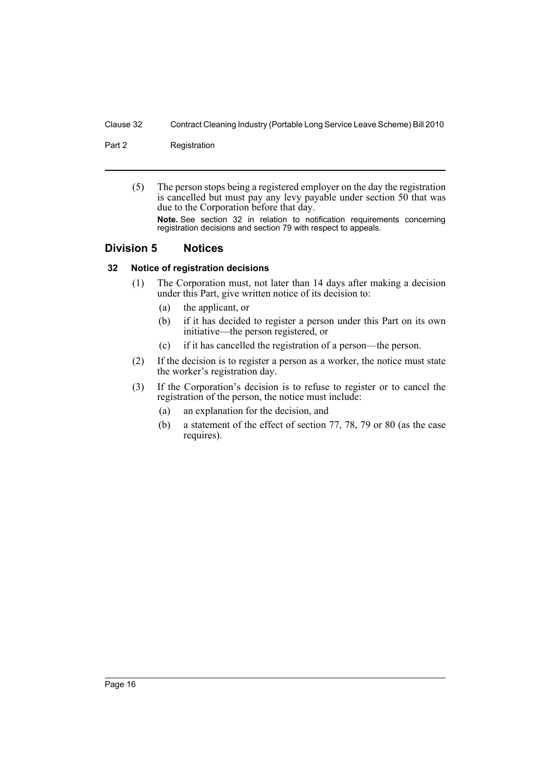Part 2 Registration

(5) The person stops being a registered employer on the day the registration is cancelled but must pay any levy payable under section 50 that was due to the Corporation before that day.

**Note.** See section 32 in relation to notification requirements concerning registration decisions and section 79 with respect to appeals.

# <span id="page-21-0"></span>**Division 5 Notices**

# <span id="page-21-1"></span>**32 Notice of registration decisions**

- (1) The Corporation must, not later than 14 days after making a decision under this Part, give written notice of its decision to:
	- (a) the applicant, or
	- (b) if it has decided to register a person under this Part on its own initiative—the person registered, or
	- (c) if it has cancelled the registration of a person—the person.
- (2) If the decision is to register a person as a worker, the notice must state the worker's registration day.
- (3) If the Corporation's decision is to refuse to register or to cancel the registration of the person, the notice must include:
	- (a) an explanation for the decision, and
	- (b) a statement of the effect of section 77, 78, 79 or 80 (as the case requires).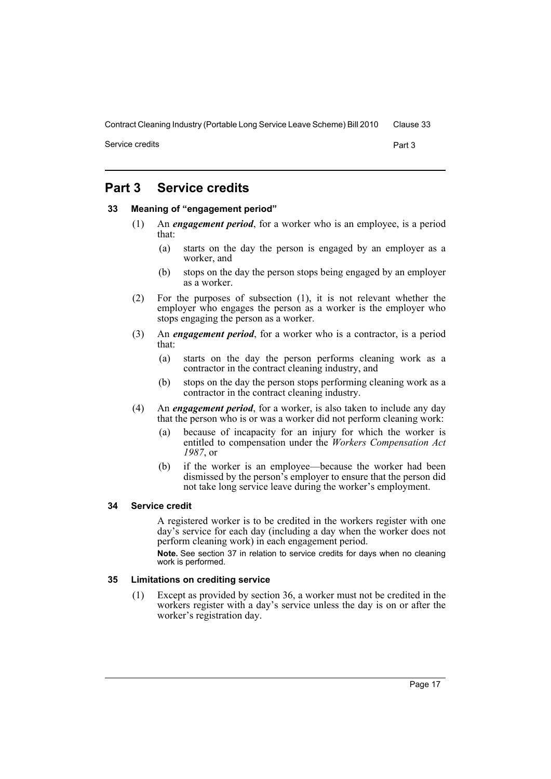Service credits **Part 3** 

# <span id="page-22-0"></span>**Part 3 Service credits**

### <span id="page-22-1"></span>**33 Meaning of "engagement period"**

- (1) An *engagement period*, for a worker who is an employee, is a period that:
	- (a) starts on the day the person is engaged by an employer as a worker, and
	- (b) stops on the day the person stops being engaged by an employer as a worker.
- (2) For the purposes of subsection (1), it is not relevant whether the employer who engages the person as a worker is the employer who stops engaging the person as a worker.
- (3) An *engagement period*, for a worker who is a contractor, is a period that:
	- (a) starts on the day the person performs cleaning work as a contractor in the contract cleaning industry, and
	- (b) stops on the day the person stops performing cleaning work as a contractor in the contract cleaning industry.
- (4) An *engagement period*, for a worker, is also taken to include any day that the person who is or was a worker did not perform cleaning work:
	- (a) because of incapacity for an injury for which the worker is entitled to compensation under the *Workers Compensation Act 1987*, or
	- (b) if the worker is an employee—because the worker had been dismissed by the person's employer to ensure that the person did not take long service leave during the worker's employment.

#### <span id="page-22-2"></span>**34 Service credit**

A registered worker is to be credited in the workers register with one day's service for each day (including a day when the worker does not perform cleaning work) in each engagement period.

**Note.** See section 37 in relation to service credits for days when no cleaning work is performed.

# <span id="page-22-3"></span>**35 Limitations on crediting service**

(1) Except as provided by section 36, a worker must not be credited in the workers register with a day's service unless the day is on or after the worker's registration day.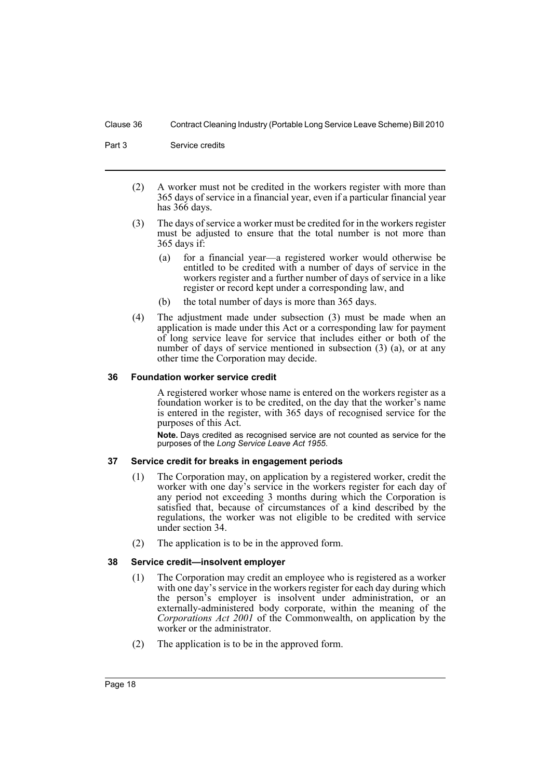Part 3 Service credits

- (2) A worker must not be credited in the workers register with more than 365 days of service in a financial year, even if a particular financial year has 366 days.
- (3) The days of service a worker must be credited for in the workers register must be adjusted to ensure that the total number is not more than 365 days if:
	- (a) for a financial year—a registered worker would otherwise be entitled to be credited with a number of days of service in the workers register and a further number of days of service in a like register or record kept under a corresponding law, and
	- (b) the total number of days is more than 365 days.
- (4) The adjustment made under subsection (3) must be made when an application is made under this Act or a corresponding law for payment of long service leave for service that includes either or both of the number of days of service mentioned in subsection (3) (a), or at any other time the Corporation may decide.

# <span id="page-23-0"></span>**36 Foundation worker service credit**

A registered worker whose name is entered on the workers register as a foundation worker is to be credited, on the day that the worker's name is entered in the register, with 365 days of recognised service for the purposes of this Act.

**Note.** Days credited as recognised service are not counted as service for the purposes of the *Long Service Leave Act 1955*.

# <span id="page-23-1"></span>**37 Service credit for breaks in engagement periods**

- (1) The Corporation may, on application by a registered worker, credit the worker with one day's service in the workers register for each day of any period not exceeding 3 months during which the Corporation is satisfied that, because of circumstances of a kind described by the regulations, the worker was not eligible to be credited with service under section 34.
- (2) The application is to be in the approved form.

# <span id="page-23-2"></span>**38 Service credit—insolvent employer**

- (1) The Corporation may credit an employee who is registered as a worker with one day's service in the workers register for each day during which the person's employer is insolvent under administration, or an externally-administered body corporate, within the meaning of the *Corporations Act 2001* of the Commonwealth, on application by the worker or the administrator.
- (2) The application is to be in the approved form.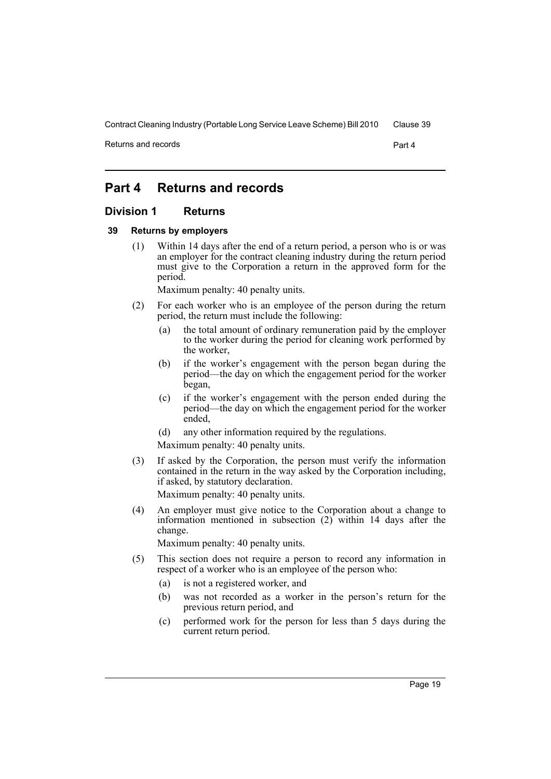Returns and records **Part 4** 

# <span id="page-24-0"></span>**Part 4 Returns and records**

# <span id="page-24-1"></span>**Division 1 Returns**

#### <span id="page-24-2"></span>**39 Returns by employers**

(1) Within 14 days after the end of a return period, a person who is or was an employer for the contract cleaning industry during the return period must give to the Corporation a return in the approved form for the period.

Maximum penalty: 40 penalty units.

- (2) For each worker who is an employee of the person during the return period, the return must include the following:
	- (a) the total amount of ordinary remuneration paid by the employer to the worker during the period for cleaning work performed by the worker,
	- (b) if the worker's engagement with the person began during the period—the day on which the engagement period for the worker began,
	- (c) if the worker's engagement with the person ended during the period—the day on which the engagement period for the worker ended,
	- (d) any other information required by the regulations.

Maximum penalty: 40 penalty units.

- (3) If asked by the Corporation, the person must verify the information contained in the return in the way asked by the Corporation including, if asked, by statutory declaration. Maximum penalty: 40 penalty units.
- (4) An employer must give notice to the Corporation about a change to information mentioned in subsection (2) within 14 days after the change.

Maximum penalty: 40 penalty units.

- (5) This section does not require a person to record any information in respect of a worker who is an employee of the person who:
	- (a) is not a registered worker, and
	- (b) was not recorded as a worker in the person's return for the previous return period, and
	- (c) performed work for the person for less than 5 days during the current return period.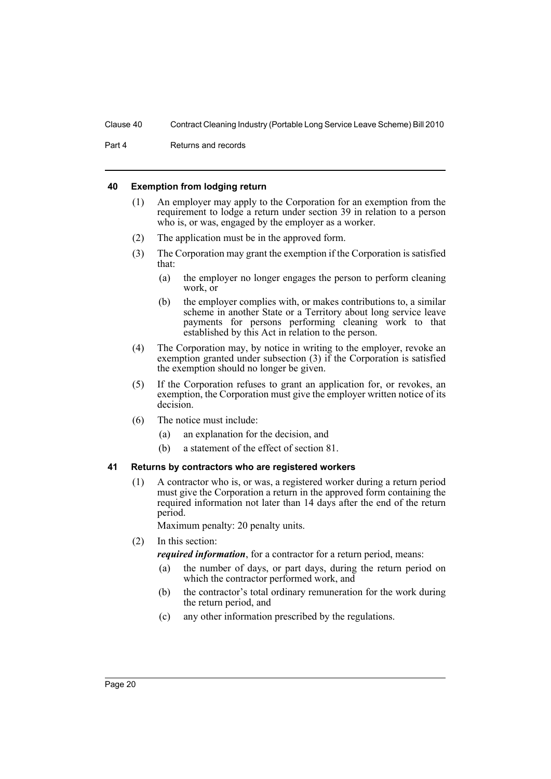Part 4 Returns and records

### <span id="page-25-0"></span>**40 Exemption from lodging return**

- (1) An employer may apply to the Corporation for an exemption from the requirement to lodge a return under section 39 in relation to a person who is, or was, engaged by the employer as a worker.
- (2) The application must be in the approved form.
- (3) The Corporation may grant the exemption if the Corporation is satisfied that:
	- (a) the employer no longer engages the person to perform cleaning work, or
	- (b) the employer complies with, or makes contributions to, a similar scheme in another State or a Territory about long service leave payments for persons performing cleaning work to that established by this Act in relation to the person.
- (4) The Corporation may, by notice in writing to the employer, revoke an exemption granted under subsection (3) if the Corporation is satisfied the exemption should no longer be given.
- (5) If the Corporation refuses to grant an application for, or revokes, an exemption, the Corporation must give the employer written notice of its decision.
- (6) The notice must include:
	- (a) an explanation for the decision, and
	- (b) a statement of the effect of section 81.

### <span id="page-25-1"></span>**41 Returns by contractors who are registered workers**

(1) A contractor who is, or was, a registered worker during a return period must give the Corporation a return in the approved form containing the required information not later than 14 days after the end of the return period.

Maximum penalty: 20 penalty units.

(2) In this section:

*required information*, for a contractor for a return period, means:

- (a) the number of days, or part days, during the return period on which the contractor performed work, and
- (b) the contractor's total ordinary remuneration for the work during the return period, and
- (c) any other information prescribed by the regulations.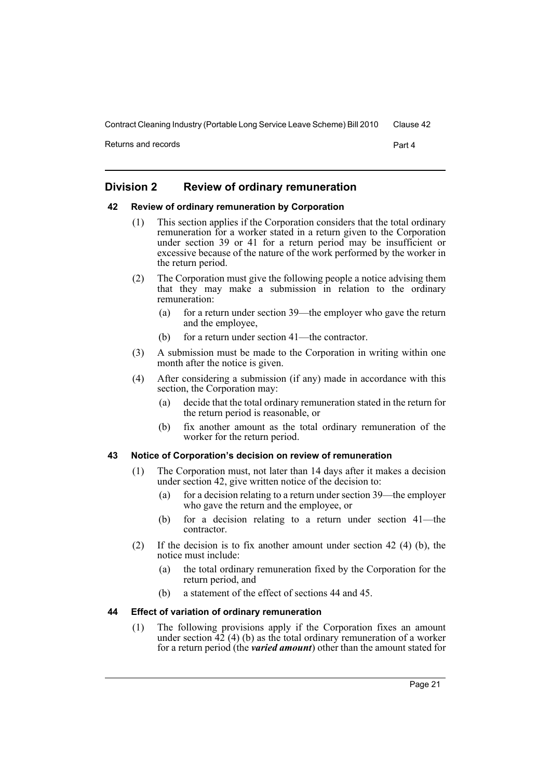Returns and records **Part 4** 

# <span id="page-26-0"></span>**Division 2 Review of ordinary remuneration**

# <span id="page-26-1"></span>**42 Review of ordinary remuneration by Corporation**

- (1) This section applies if the Corporation considers that the total ordinary remuneration for a worker stated in a return given to the Corporation under section 39 or 41 for a return period may be insufficient or excessive because of the nature of the work performed by the worker in the return period.
- (2) The Corporation must give the following people a notice advising them that they may make a submission in relation to the ordinary remuneration:
	- (a) for a return under section 39—the employer who gave the return and the employee,
	- (b) for a return under section 41—the contractor.
- (3) A submission must be made to the Corporation in writing within one month after the notice is given.
- (4) After considering a submission (if any) made in accordance with this section, the Corporation may:
	- (a) decide that the total ordinary remuneration stated in the return for the return period is reasonable, or
	- (b) fix another amount as the total ordinary remuneration of the worker for the return period.

### <span id="page-26-2"></span>**43 Notice of Corporation's decision on review of remuneration**

- (1) The Corporation must, not later than 14 days after it makes a decision under section 42, give written notice of the decision to:
	- (a) for a decision relating to a return under section 39—the employer who gave the return and the employee, or
	- (b) for a decision relating to a return under section 41—the contractor.
- (2) If the decision is to fix another amount under section 42 (4) (b), the notice must include:
	- (a) the total ordinary remuneration fixed by the Corporation for the return period, and
	- (b) a statement of the effect of sections 44 and 45.

### <span id="page-26-3"></span>**44 Effect of variation of ordinary remuneration**

(1) The following provisions apply if the Corporation fixes an amount under section  $\overline{42}$  (4) (b) as the total ordinary remuneration of a worker for a return period (the *varied amount*) other than the amount stated for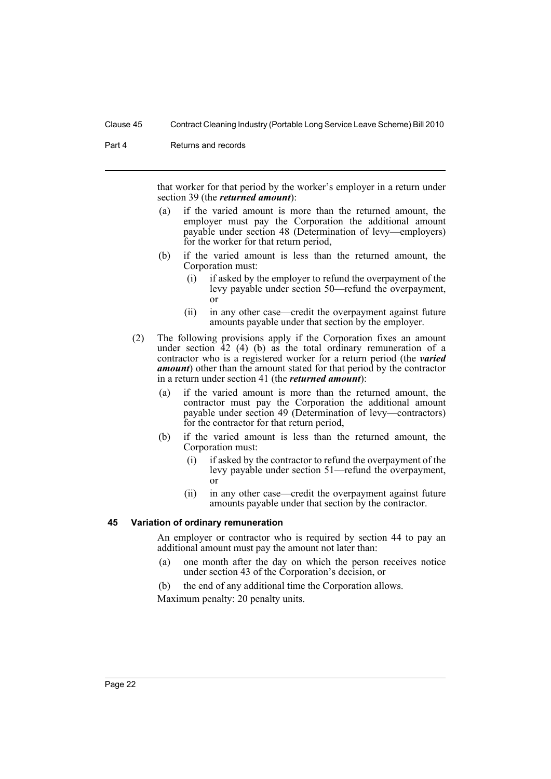Part 4 Returns and records

that worker for that period by the worker's employer in a return under section 39 (the *returned amount*):

- (a) if the varied amount is more than the returned amount, the employer must pay the Corporation the additional amount payable under section 48 (Determination of levy—employers) for the worker for that return period,
- (b) if the varied amount is less than the returned amount, the Corporation must:
	- (i) if asked by the employer to refund the overpayment of the levy payable under section 50—refund the overpayment, or
	- (ii) in any other case—credit the overpayment against future amounts payable under that section by the employer.
- (2) The following provisions apply if the Corporation fixes an amount under section  $42$  (4) (b) as the total ordinary remuneration of a contractor who is a registered worker for a return period (the *varied amount*) other than the amount stated for that period by the contractor in a return under section 41 (the *returned amount*):
	- (a) if the varied amount is more than the returned amount, the contractor must pay the Corporation the additional amount payable under section 49 (Determination of levy—contractors) for the contractor for that return period,
	- (b) if the varied amount is less than the returned amount, the Corporation must:
		- (i) if asked by the contractor to refund the overpayment of the levy payable under section 51—refund the overpayment, or
		- (ii) in any other case—credit the overpayment against future amounts payable under that section by the contractor.

#### <span id="page-27-0"></span>**45 Variation of ordinary remuneration**

An employer or contractor who is required by section 44 to pay an additional amount must pay the amount not later than:

- (a) one month after the day on which the person receives notice under section 43 of the Corporation's decision, or
- (b) the end of any additional time the Corporation allows.

Maximum penalty: 20 penalty units.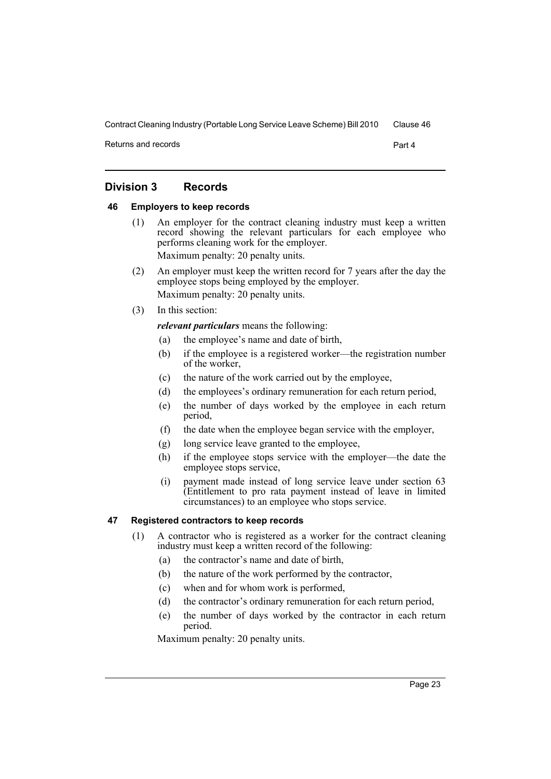Returns and records **Part 4** 

# <span id="page-28-0"></span>**Division 3 Records**

# <span id="page-28-1"></span>**46 Employers to keep records**

- (1) An employer for the contract cleaning industry must keep a written record showing the relevant particulars for each employee who performs cleaning work for the employer. Maximum penalty: 20 penalty units.
- (2) An employer must keep the written record for 7 years after the day the employee stops being employed by the employer. Maximum penalty: 20 penalty units.
- (3) In this section:

# *relevant particulars* means the following:

- (a) the employee's name and date of birth,
- (b) if the employee is a registered worker—the registration number of the worker,
- (c) the nature of the work carried out by the employee,
- (d) the employees's ordinary remuneration for each return period,
- (e) the number of days worked by the employee in each return period,
- (f) the date when the employee began service with the employer,
- (g) long service leave granted to the employee,
- (h) if the employee stops service with the employer—the date the employee stops service,
- (i) payment made instead of long service leave under section 63 (Entitlement to pro rata payment instead of leave in limited circumstances) to an employee who stops service.

# <span id="page-28-2"></span>**47 Registered contractors to keep records**

- (1) A contractor who is registered as a worker for the contract cleaning industry must keep a written record of the following:
	- (a) the contractor's name and date of birth,
	- (b) the nature of the work performed by the contractor,
	- (c) when and for whom work is performed,
	- (d) the contractor's ordinary remuneration for each return period,
	- (e) the number of days worked by the contractor in each return period.

Maximum penalty: 20 penalty units.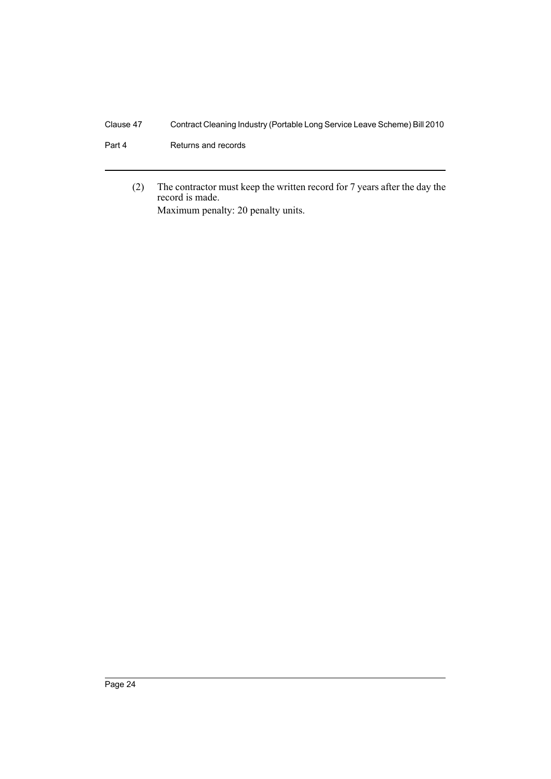- Part 4 Returns and records
	- (2) The contractor must keep the written record for 7 years after the day the record is made. Maximum penalty: 20 penalty units.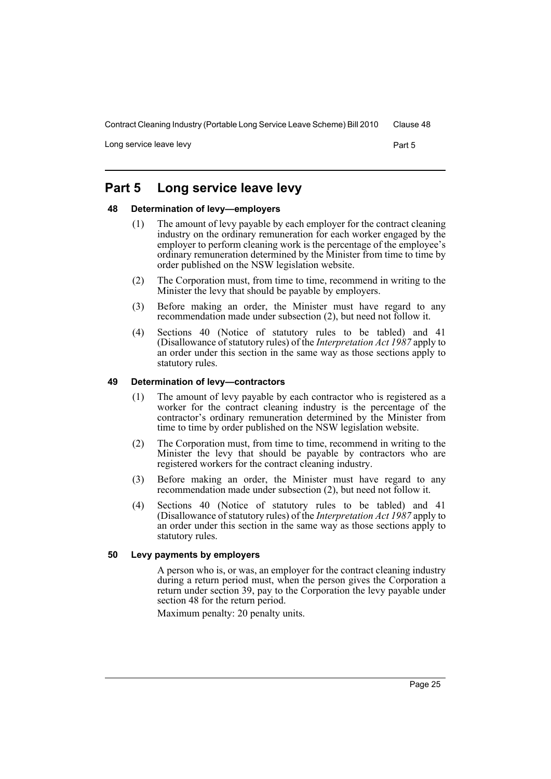Long service leave levy example of the service of the service of the service of the service of the service of the service of the service of the service of the service of the service of the service of the service of the ser

# <span id="page-30-0"></span>**Part 5 Long service leave levy**

# <span id="page-30-1"></span>**48 Determination of levy—employers**

- (1) The amount of levy payable by each employer for the contract cleaning industry on the ordinary remuneration for each worker engaged by the employer to perform cleaning work is the percentage of the employee's ordinary remuneration determined by the Minister from time to time by order published on the NSW legislation website.
- (2) The Corporation must, from time to time, recommend in writing to the Minister the levy that should be payable by employers.
- (3) Before making an order, the Minister must have regard to any recommendation made under subsection (2), but need not follow it.
- (4) Sections 40 (Notice of statutory rules to be tabled) and 41 (Disallowance of statutory rules) of the *Interpretation Act 1987* apply to an order under this section in the same way as those sections apply to statutory rules.

#### <span id="page-30-2"></span>**49 Determination of levy—contractors**

- (1) The amount of levy payable by each contractor who is registered as a worker for the contract cleaning industry is the percentage of the contractor's ordinary remuneration determined by the Minister from time to time by order published on the NSW legislation website.
- (2) The Corporation must, from time to time, recommend in writing to the Minister the levy that should be payable by contractors who are registered workers for the contract cleaning industry.
- (3) Before making an order, the Minister must have regard to any recommendation made under subsection (2), but need not follow it.
- (4) Sections 40 (Notice of statutory rules to be tabled) and 41 (Disallowance of statutory rules) of the *Interpretation Act 1987* apply to an order under this section in the same way as those sections apply to statutory rules.

#### <span id="page-30-3"></span>**50 Levy payments by employers**

A person who is, or was, an employer for the contract cleaning industry during a return period must, when the person gives the Corporation a return under section 39, pay to the Corporation the levy payable under section 48 for the return period.

Maximum penalty: 20 penalty units.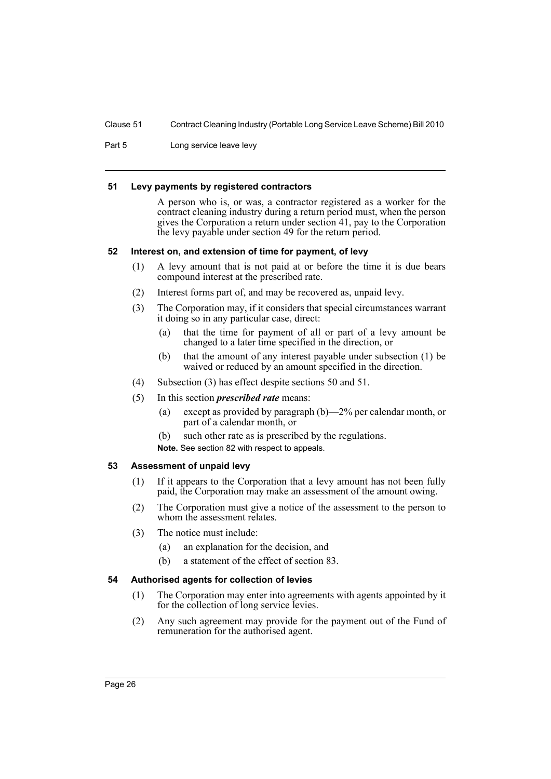Part 5 Long service leave levy

#### <span id="page-31-0"></span>**51 Levy payments by registered contractors**

A person who is, or was, a contractor registered as a worker for the contract cleaning industry during a return period must, when the person gives the Corporation a return under section 41, pay to the Corporation the levy payable under section 49 for the return period.

# <span id="page-31-1"></span>**52 Interest on, and extension of time for payment, of levy**

- (1) A levy amount that is not paid at or before the time it is due bears compound interest at the prescribed rate.
- (2) Interest forms part of, and may be recovered as, unpaid levy.
- (3) The Corporation may, if it considers that special circumstances warrant it doing so in any particular case, direct:
	- (a) that the time for payment of all or part of a levy amount be changed to a later time specified in the direction, or
	- (b) that the amount of any interest payable under subsection (1) be waived or reduced by an amount specified in the direction.
- (4) Subsection (3) has effect despite sections 50 and 51.
- (5) In this section *prescribed rate* means:
	- (a) except as provided by paragraph (b)—2% per calendar month, or part of a calendar month, or
	- (b) such other rate as is prescribed by the regulations.

**Note.** See section 82 with respect to appeals.

# <span id="page-31-2"></span>**53 Assessment of unpaid levy**

- (1) If it appears to the Corporation that a levy amount has not been fully paid, the Corporation may make an assessment of the amount owing.
- (2) The Corporation must give a notice of the assessment to the person to whom the assessment relates.
- (3) The notice must include:
	- (a) an explanation for the decision, and
	- (b) a statement of the effect of section 83.

# <span id="page-31-3"></span>**54 Authorised agents for collection of levies**

- (1) The Corporation may enter into agreements with agents appointed by it for the collection of long service levies.
- (2) Any such agreement may provide for the payment out of the Fund of remuneration for the authorised agent.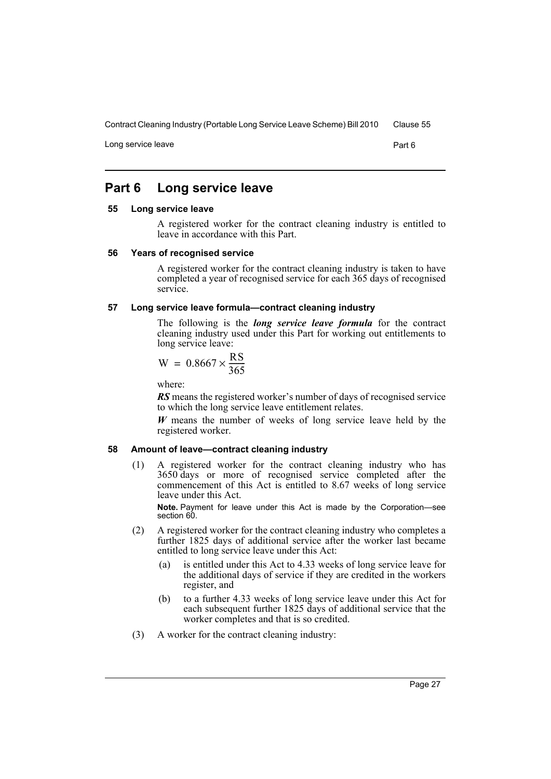Long service leave **Part 6** 

# <span id="page-32-0"></span>**Part 6 Long service leave**

#### <span id="page-32-1"></span>**55 Long service leave**

A registered worker for the contract cleaning industry is entitled to leave in accordance with this Part.

#### <span id="page-32-2"></span>**56 Years of recognised service**

A registered worker for the contract cleaning industry is taken to have completed a year of recognised service for each 365 days of recognised service.

#### <span id="page-32-3"></span>**57 Long service leave formula—contract cleaning industry**

The following is the *long service leave formula* for the contract cleaning industry used under this Part for working out entitlements to long service leave:

$$
W = 0.8667 \times \frac{RS}{365}
$$

where:

*RS* means the registered worker's number of days of recognised service to which the long service leave entitlement relates.

*W* means the number of weeks of long service leave held by the registered worker.

# <span id="page-32-4"></span>**58 Amount of leave—contract cleaning industry**

(1) A registered worker for the contract cleaning industry who has 3650 days or more of recognised service completed after the commencement of this Act is entitled to 8.67 weeks of long service leave under this Act.

**Note.** Payment for leave under this Act is made by the Corporation—see section 60.

- (2) A registered worker for the contract cleaning industry who completes a further 1825 days of additional service after the worker last became entitled to long service leave under this Act:
	- (a) is entitled under this Act to 4.33 weeks of long service leave for the additional days of service if they are credited in the workers register, and
	- (b) to a further 4.33 weeks of long service leave under this Act for each subsequent further 1825 days of additional service that the worker completes and that is so credited.
- (3) A worker for the contract cleaning industry: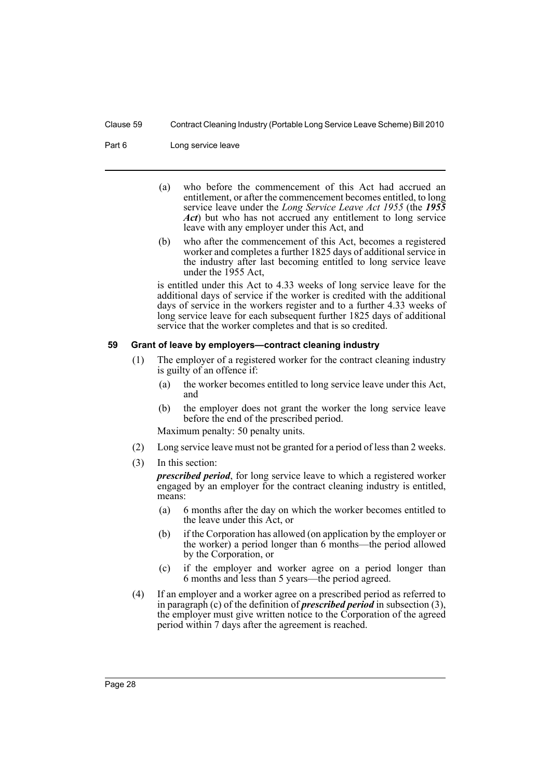Part 6 Long service leave

- (a) who before the commencement of this Act had accrued an entitlement, or after the commencement becomes entitled, to long service leave under the *Long Service Leave Act 1955* (the *1955 Act*) but who has not accrued any entitlement to long service leave with any employer under this Act, and
- (b) who after the commencement of this Act, becomes a registered worker and completes a further 1825 days of additional service in the industry after last becoming entitled to long service leave under the 1955 Act,

is entitled under this Act to 4.33 weeks of long service leave for the additional days of service if the worker is credited with the additional days of service in the workers register and to a further 4.33 weeks of long service leave for each subsequent further 1825 days of additional service that the worker completes and that is so credited.

# <span id="page-33-0"></span>**59 Grant of leave by employers—contract cleaning industry**

- (1) The employer of a registered worker for the contract cleaning industry is guilty of an offence if:
	- (a) the worker becomes entitled to long service leave under this Act, and
	- (b) the employer does not grant the worker the long service leave before the end of the prescribed period.

Maximum penalty: 50 penalty units.

- (2) Long service leave must not be granted for a period of less than 2 weeks.
- (3) In this section:

*prescribed period*, for long service leave to which a registered worker engaged by an employer for the contract cleaning industry is entitled, means:

- (a) 6 months after the day on which the worker becomes entitled to the leave under this Act, or
- (b) if the Corporation has allowed (on application by the employer or the worker) a period longer than 6 months—the period allowed by the Corporation, or
- (c) if the employer and worker agree on a period longer than 6 months and less than 5 years—the period agreed.
- (4) If an employer and a worker agree on a prescribed period as referred to in paragraph (c) of the definition of *prescribed period* in subsection (3), the employer must give written notice to the Corporation of the agreed period within 7 days after the agreement is reached.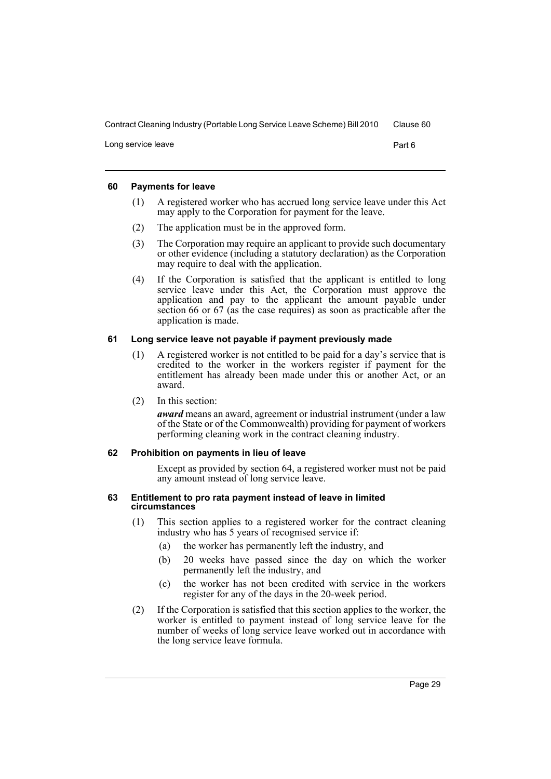Long service leave **Part 6** 

# <span id="page-34-0"></span>**60 Payments for leave**

- (1) A registered worker who has accrued long service leave under this Act may apply to the Corporation for payment for the leave.
- (2) The application must be in the approved form.
- (3) The Corporation may require an applicant to provide such documentary or other evidence (including a statutory declaration) as the Corporation may require to deal with the application.
- (4) If the Corporation is satisfied that the applicant is entitled to long service leave under this Act, the Corporation must approve the application and pay to the applicant the amount payable under section 66 or 67 (as the case requires) as soon as practicable after the application is made.

# <span id="page-34-1"></span>**61 Long service leave not payable if payment previously made**

- (1) A registered worker is not entitled to be paid for a day's service that is credited to the worker in the workers register if payment for the entitlement has already been made under this or another Act, or an award.
- (2) In this section:

*award* means an award, agreement or industrial instrument (under a law of the State or of the Commonwealth) providing for payment of workers performing cleaning work in the contract cleaning industry.

# <span id="page-34-2"></span>**62 Prohibition on payments in lieu of leave**

Except as provided by section 64, a registered worker must not be paid any amount instead of long service leave.

#### <span id="page-34-3"></span>**63 Entitlement to pro rata payment instead of leave in limited circumstances**

- (1) This section applies to a registered worker for the contract cleaning industry who has 5 years of recognised service if:
	- (a) the worker has permanently left the industry, and
	- (b) 20 weeks have passed since the day on which the worker permanently left the industry, and
	- (c) the worker has not been credited with service in the workers register for any of the days in the 20-week period.
- (2) If the Corporation is satisfied that this section applies to the worker, the worker is entitled to payment instead of long service leave for the number of weeks of long service leave worked out in accordance with the long service leave formula.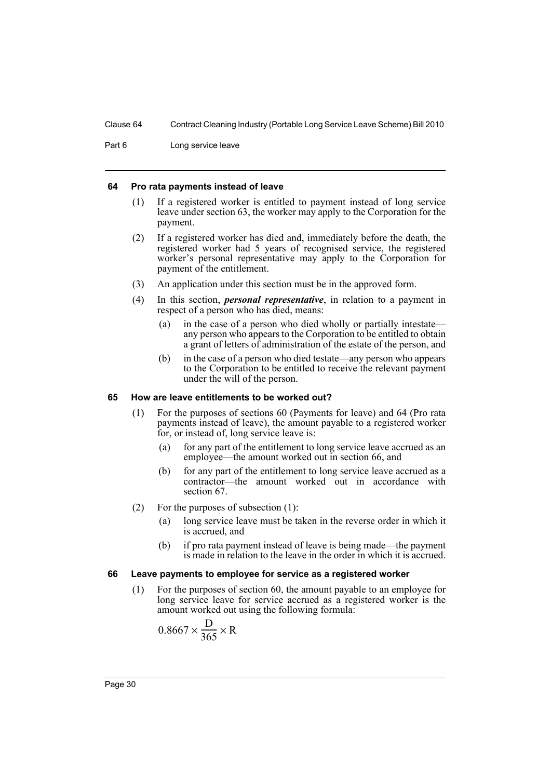Part 6 Long service leave

#### <span id="page-35-0"></span>**64 Pro rata payments instead of leave**

- (1) If a registered worker is entitled to payment instead of long service leave under section 63, the worker may apply to the Corporation for the payment.
- (2) If a registered worker has died and, immediately before the death, the registered worker had 5 years of recognised service, the registered worker's personal representative may apply to the Corporation for payment of the entitlement.
- (3) An application under this section must be in the approved form.
- (4) In this section, *personal representative*, in relation to a payment in respect of a person who has died, means:
	- (a) in the case of a person who died wholly or partially intestate any person who appears to the Corporation to be entitled to obtain a grant of letters of administration of the estate of the person, and
	- (b) in the case of a person who died testate—any person who appears to the Corporation to be entitled to receive the relevant payment under the will of the person.

#### <span id="page-35-1"></span>**65 How are leave entitlements to be worked out?**

- (1) For the purposes of sections 60 (Payments for leave) and 64 (Pro rata payments instead of leave), the amount payable to a registered worker for, or instead of, long service leave is:
	- (a) for any part of the entitlement to long service leave accrued as an employee—the amount worked out in section 66, and
	- (b) for any part of the entitlement to long service leave accrued as a contractor—the amount worked out in accordance with section 67.
- (2) For the purposes of subsection (1):
	- (a) long service leave must be taken in the reverse order in which it is accrued, and
	- (b) if pro rata payment instead of leave is being made—the payment is made in relation to the leave in the order in which it is accrued.

#### <span id="page-35-2"></span>**66 Leave payments to employee for service as a registered worker**

(1) For the purposes of section 60, the amount payable to an employee for long service leave for service accrued as a registered worker is the amount worked out using the following formula:

$$
0.8667 \times \frac{D}{365} \times R
$$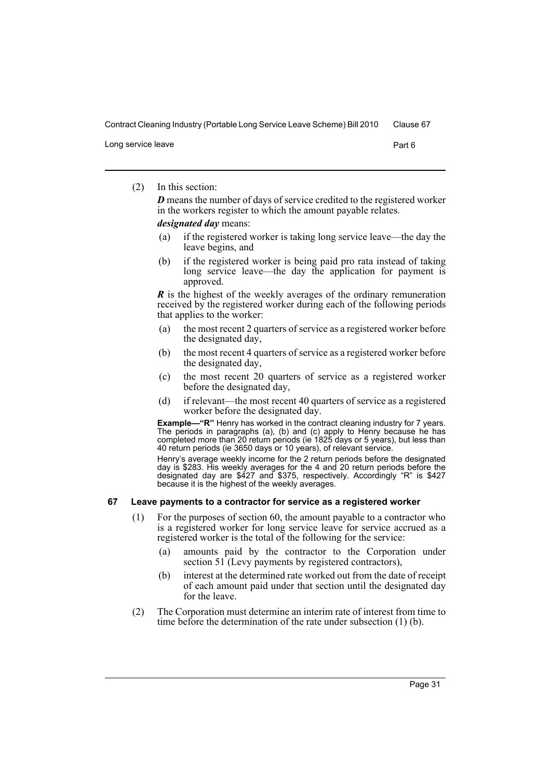Long service leave **Part 6** 

(2) In this section:

*D* means the number of days of service credited to the registered worker in the workers register to which the amount payable relates.

*designated day* means:

- (a) if the registered worker is taking long service leave—the day the leave begins, and
- (b) if the registered worker is being paid pro rata instead of taking long service leave—the day the application for payment is approved.

*R* is the highest of the weekly averages of the ordinary remuneration received by the registered worker during each of the following periods that applies to the worker:

- (a) the most recent 2 quarters of service as a registered worker before the designated day,
- (b) the most recent 4 quarters of service as a registered worker before the designated day,
- (c) the most recent 20 quarters of service as a registered worker before the designated day,
- (d) if relevant—the most recent 40 quarters of service as a registered worker before the designated day.

**Example—"R"** Henry has worked in the contract cleaning industry for 7 years. The periods in paragraphs (a), (b) and (c) apply to Henry because he has completed more than 20 return periods (ie 1825 days or 5 years), but less than 40 return periods (ie 3650 days or 10 years), of relevant service.

Henry's average weekly income for the 2 return periods before the designated day is \$283. His weekly averages for the 4 and 20 return periods before the designated day are \$427 and \$375, respectively. Accordingly "R" is \$427 because it is the highest of the weekly averages.

### <span id="page-36-0"></span>**67 Leave payments to a contractor for service as a registered worker**

- (1) For the purposes of section 60, the amount payable to a contractor who is a registered worker for long service leave for service accrued as a registered worker is the total of the following for the service:
	- (a) amounts paid by the contractor to the Corporation under section 51 (Levy payments by registered contractors),
	- (b) interest at the determined rate worked out from the date of receipt of each amount paid under that section until the designated day for the leave.
- (2) The Corporation must determine an interim rate of interest from time to time before the determination of the rate under subsection (1) (b).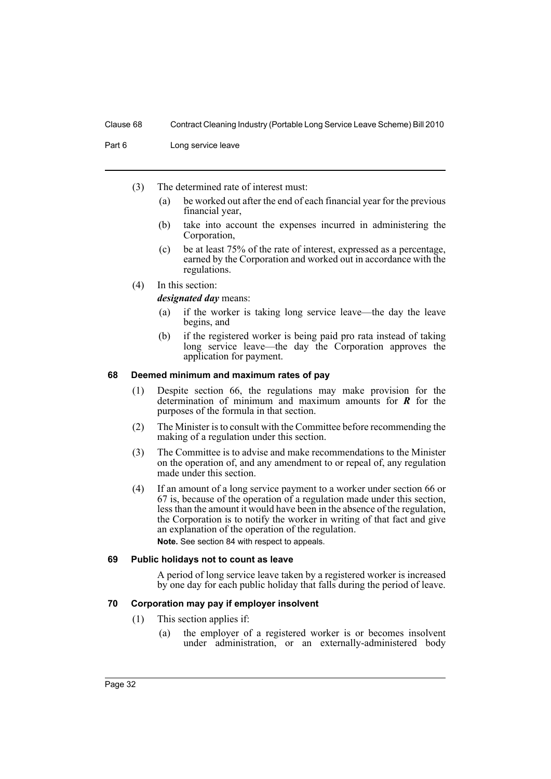Part 6 Long service leave

- (3) The determined rate of interest must:
	- (a) be worked out after the end of each financial year for the previous financial year,
	- (b) take into account the expenses incurred in administering the Corporation,
	- (c) be at least 75% of the rate of interest, expressed as a percentage, earned by the Corporation and worked out in accordance with the regulations.
- (4) In this section:

*designated day* means:

- (a) if the worker is taking long service leave—the day the leave begins, and
- (b) if the registered worker is being paid pro rata instead of taking long service leave—the day the Corporation approves the application for payment.

#### <span id="page-37-0"></span>**68 Deemed minimum and maximum rates of pay**

- (1) Despite section 66, the regulations may make provision for the determination of minimum and maximum amounts for *R* for the purposes of the formula in that section.
- (2) The Minister is to consult with the Committee before recommending the making of a regulation under this section.
- (3) The Committee is to advise and make recommendations to the Minister on the operation of, and any amendment to or repeal of, any regulation made under this section.
- (4) If an amount of a long service payment to a worker under section 66 or 67 is, because of the operation of a regulation made under this section, less than the amount it would have been in the absence of the regulation, the Corporation is to notify the worker in writing of that fact and give an explanation of the operation of the regulation.

**Note.** See section 84 with respect to appeals.

# <span id="page-37-1"></span>**69 Public holidays not to count as leave**

A period of long service leave taken by a registered worker is increased by one day for each public holiday that falls during the period of leave.

#### <span id="page-37-2"></span>**70 Corporation may pay if employer insolvent**

- (1) This section applies if:
	- (a) the employer of a registered worker is or becomes insolvent under administration, or an externally-administered body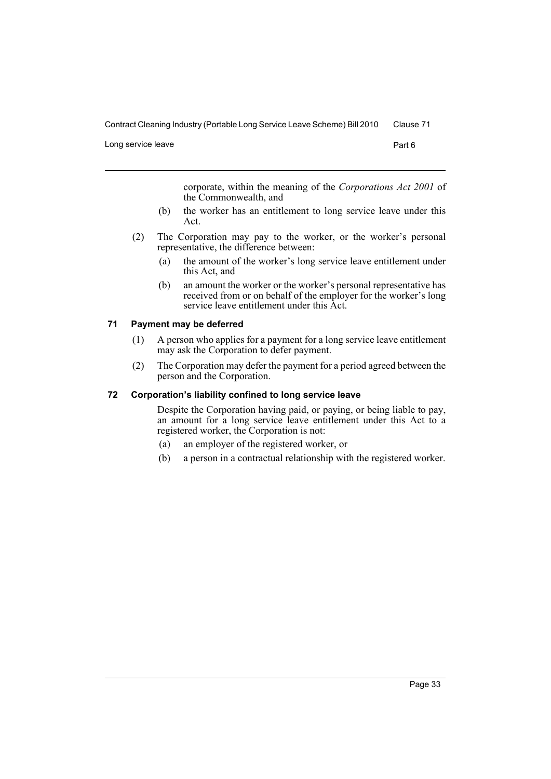Long service leave **Part 6** 

corporate, within the meaning of the *Corporations Act 2001* of the Commonwealth, and

- (b) the worker has an entitlement to long service leave under this Act.
- (2) The Corporation may pay to the worker, or the worker's personal representative, the difference between:
	- (a) the amount of the worker's long service leave entitlement under this Act, and
	- (b) an amount the worker or the worker's personal representative has received from or on behalf of the employer for the worker's long service leave entitlement under this Act.

# <span id="page-38-0"></span>**71 Payment may be deferred**

- (1) A person who applies for a payment for a long service leave entitlement may ask the Corporation to defer payment.
- (2) The Corporation may defer the payment for a period agreed between the person and the Corporation.

#### <span id="page-38-1"></span>**72 Corporation's liability confined to long service leave**

Despite the Corporation having paid, or paying, or being liable to pay, an amount for a long service leave entitlement under this Act to a registered worker, the Corporation is not:

- (a) an employer of the registered worker, or
- (b) a person in a contractual relationship with the registered worker.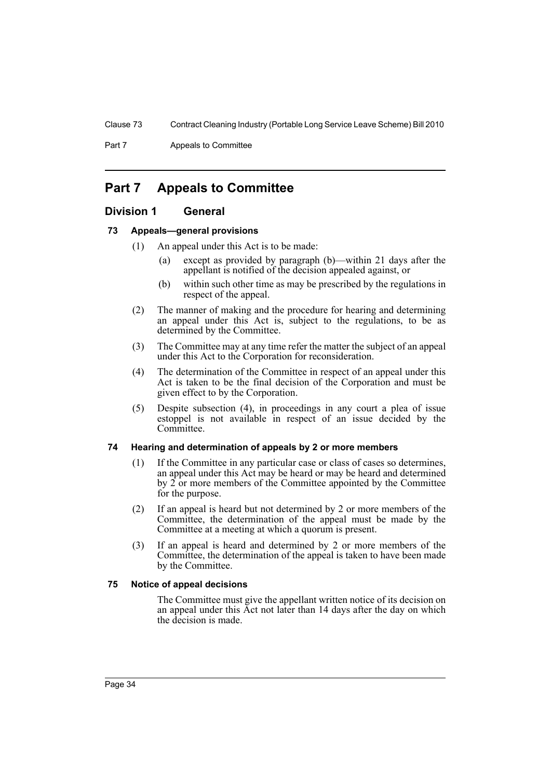Part 7 **Appeals to Committee** 

# <span id="page-39-0"></span>**Part 7 Appeals to Committee**

# <span id="page-39-1"></span>**Division 1 General**

# <span id="page-39-2"></span>**73 Appeals—general provisions**

- (1) An appeal under this Act is to be made:
	- (a) except as provided by paragraph (b)—within 21 days after the appellant is notified of the decision appealed against, or
	- (b) within such other time as may be prescribed by the regulations in respect of the appeal.
- (2) The manner of making and the procedure for hearing and determining an appeal under this Act is, subject to the regulations, to be as determined by the Committee.
- (3) The Committee may at any time refer the matter the subject of an appeal under this Act to the Corporation for reconsideration.
- (4) The determination of the Committee in respect of an appeal under this Act is taken to be the final decision of the Corporation and must be given effect to by the Corporation.
- (5) Despite subsection (4), in proceedings in any court a plea of issue estoppel is not available in respect of an issue decided by the Committee.

### <span id="page-39-3"></span>**74 Hearing and determination of appeals by 2 or more members**

- (1) If the Committee in any particular case or class of cases so determines, an appeal under this Act may be heard or may be heard and determined by  $\hat{2}$  or more members of the Committee appointed by the Committee for the purpose.
- (2) If an appeal is heard but not determined by 2 or more members of the Committee, the determination of the appeal must be made by the Committee at a meeting at which a quorum is present.
- (3) If an appeal is heard and determined by 2 or more members of the Committee, the determination of the appeal is taken to have been made by the Committee.

#### <span id="page-39-4"></span>**75 Notice of appeal decisions**

The Committee must give the appellant written notice of its decision on an appeal under this Act not later than 14 days after the day on which the decision is made.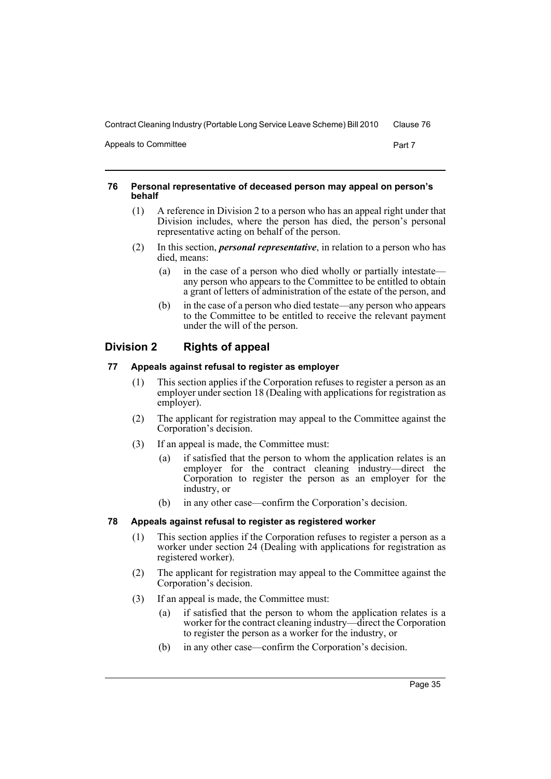Appeals to Committee **Part 7** and 2012 12:30 and 2012 12:30 and 2012 12:30 and 2012 12:30 and 2012 12:30 and 2013

#### <span id="page-40-0"></span>**76 Personal representative of deceased person may appeal on person's behalf**

- (1) A reference in Division 2 to a person who has an appeal right under that Division includes, where the person has died, the person's personal representative acting on behalf of the person.
- (2) In this section, *personal representative*, in relation to a person who has died, means:
	- (a) in the case of a person who died wholly or partially intestate any person who appears to the Committee to be entitled to obtain a grant of letters of administration of the estate of the person, and
	- (b) in the case of a person who died testate—any person who appears to the Committee to be entitled to receive the relevant payment under the will of the person.

# <span id="page-40-1"></span>**Division 2 Rights of appeal**

# <span id="page-40-2"></span>**77 Appeals against refusal to register as employer**

- (1) This section applies if the Corporation refuses to register a person as an employer under section 18 (Dealing with applications for registration as employer).
- (2) The applicant for registration may appeal to the Committee against the Corporation's decision.
- (3) If an appeal is made, the Committee must:
	- (a) if satisfied that the person to whom the application relates is an employer for the contract cleaning industry—direct the Corporation to register the person as an employer for the industry, or
	- (b) in any other case—confirm the Corporation's decision.

# <span id="page-40-3"></span>**78 Appeals against refusal to register as registered worker**

- (1) This section applies if the Corporation refuses to register a person as a worker under section 24 (Dealing with applications for registration as registered worker).
- (2) The applicant for registration may appeal to the Committee against the Corporation's decision.
- (3) If an appeal is made, the Committee must:
	- (a) if satisfied that the person to whom the application relates is a worker for the contract cleaning industry—direct the Corporation to register the person as a worker for the industry, or
	- (b) in any other case—confirm the Corporation's decision.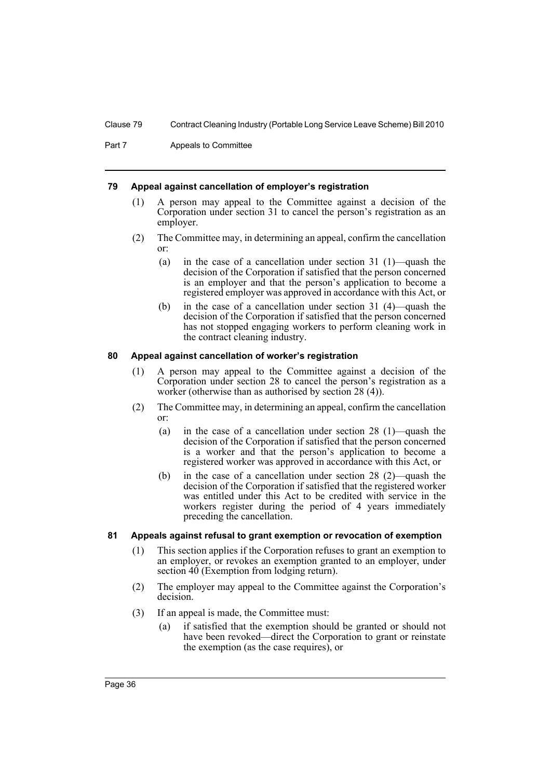Part 7 **Appeals to Committee** 

### <span id="page-41-0"></span>**79 Appeal against cancellation of employer's registration**

- (1) A person may appeal to the Committee against a decision of the Corporation under section 31 to cancel the person's registration as an employer.
- (2) The Committee may, in determining an appeal, confirm the cancellation or:
	- (a) in the case of a cancellation under section 31 (1)—quash the decision of the Corporation if satisfied that the person concerned is an employer and that the person's application to become a registered employer was approved in accordance with this Act, or
	- (b) in the case of a cancellation under section 31 (4)—quash the decision of the Corporation if satisfied that the person concerned has not stopped engaging workers to perform cleaning work in the contract cleaning industry.

# <span id="page-41-1"></span>**80 Appeal against cancellation of worker's registration**

- (1) A person may appeal to the Committee against a decision of the Corporation under section 28 to cancel the person's registration as a worker (otherwise than as authorised by section 28 (4)).
- (2) The Committee may, in determining an appeal, confirm the cancellation or:
	- (a) in the case of a cancellation under section 28 (1)—quash the decision of the Corporation if satisfied that the person concerned is a worker and that the person's application to become a registered worker was approved in accordance with this Act, or
	- (b) in the case of a cancellation under section 28 (2)—quash the decision of the Corporation if satisfied that the registered worker was entitled under this Act to be credited with service in the workers register during the period of 4 years immediately preceding the cancellation.

### <span id="page-41-2"></span>**81 Appeals against refusal to grant exemption or revocation of exemption**

- (1) This section applies if the Corporation refuses to grant an exemption to an employer, or revokes an exemption granted to an employer, under section 40 (Exemption from lodging return).
- (2) The employer may appeal to the Committee against the Corporation's decision.
- (3) If an appeal is made, the Committee must:
	- (a) if satisfied that the exemption should be granted or should not have been revoked—direct the Corporation to grant or reinstate the exemption (as the case requires), or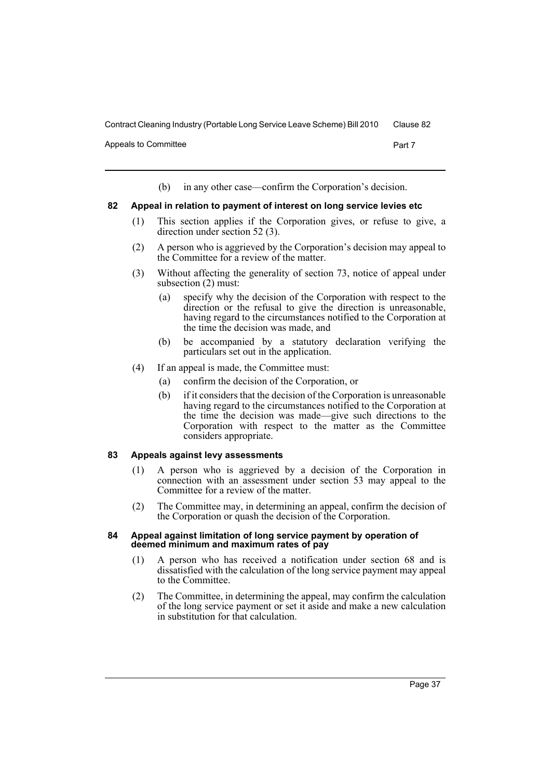Appeals to Committee **Part 7** and 2012 12:30 and 2012 12:30 and 2012 12:30 and 2012 12:30 and 2012 12:30 and 2013

(b) in any other case—confirm the Corporation's decision.

#### <span id="page-42-0"></span>**82 Appeal in relation to payment of interest on long service levies etc**

- (1) This section applies if the Corporation gives, or refuse to give, a direction under section 52 (3).
- (2) A person who is aggrieved by the Corporation's decision may appeal to the Committee for a review of the matter.
- (3) Without affecting the generality of section 73, notice of appeal under subsection (2) must:
	- (a) specify why the decision of the Corporation with respect to the direction or the refusal to give the direction is unreasonable, having regard to the circumstances notified to the Corporation at the time the decision was made, and
	- (b) be accompanied by a statutory declaration verifying the particulars set out in the application.
- (4) If an appeal is made, the Committee must:
	- (a) confirm the decision of the Corporation, or
	- (b) if it considers that the decision of the Corporation is unreasonable having regard to the circumstances notified to the Corporation at the time the decision was made—give such directions to the Corporation with respect to the matter as the Committee considers appropriate.

#### <span id="page-42-1"></span>**83 Appeals against levy assessments**

- (1) A person who is aggrieved by a decision of the Corporation in connection with an assessment under section 53 may appeal to the Committee for a review of the matter.
- (2) The Committee may, in determining an appeal, confirm the decision of the Corporation or quash the decision of the Corporation.

#### <span id="page-42-2"></span>**84 Appeal against limitation of long service payment by operation of deemed minimum and maximum rates of pay**

- (1) A person who has received a notification under section 68 and is dissatisfied with the calculation of the long service payment may appeal to the Committee.
- (2) The Committee, in determining the appeal, may confirm the calculation of the long service payment or set it aside and make a new calculation in substitution for that calculation.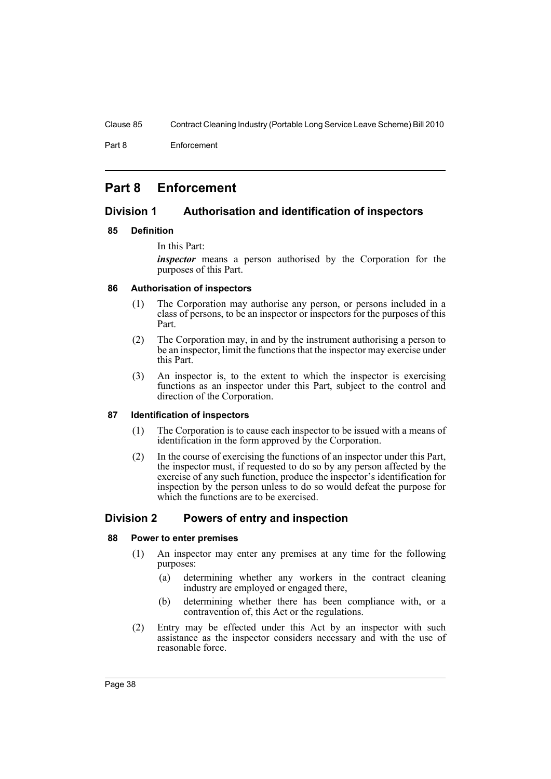Part 8 Enforcement

# <span id="page-43-0"></span>**Part 8 Enforcement**

# <span id="page-43-1"></span>**Division 1 Authorisation and identification of inspectors**

# <span id="page-43-2"></span>**85 Definition**

In this Part:

*inspector* means a person authorised by the Corporation for the purposes of this Part.

# <span id="page-43-3"></span>**86 Authorisation of inspectors**

- (1) The Corporation may authorise any person, or persons included in a class of persons, to be an inspector or inspectors for the purposes of this Part.
- (2) The Corporation may, in and by the instrument authorising a person to be an inspector, limit the functions that the inspector may exercise under this Part.
- (3) An inspector is, to the extent to which the inspector is exercising functions as an inspector under this Part, subject to the control and direction of the Corporation.

# <span id="page-43-4"></span>**87 Identification of inspectors**

- (1) The Corporation is to cause each inspector to be issued with a means of identification in the form approved by the Corporation.
- (2) In the course of exercising the functions of an inspector under this Part, the inspector must, if requested to do so by any person affected by the exercise of any such function, produce the inspector's identification for inspection by the person unless to do so would defeat the purpose for which the functions are to be exercised.

# <span id="page-43-5"></span>**Division 2 Powers of entry and inspection**

# <span id="page-43-6"></span>**88 Power to enter premises**

- (1) An inspector may enter any premises at any time for the following purposes:
	- (a) determining whether any workers in the contract cleaning industry are employed or engaged there,
	- (b) determining whether there has been compliance with, or a contravention of, this Act or the regulations.
- (2) Entry may be effected under this Act by an inspector with such assistance as the inspector considers necessary and with the use of reasonable force.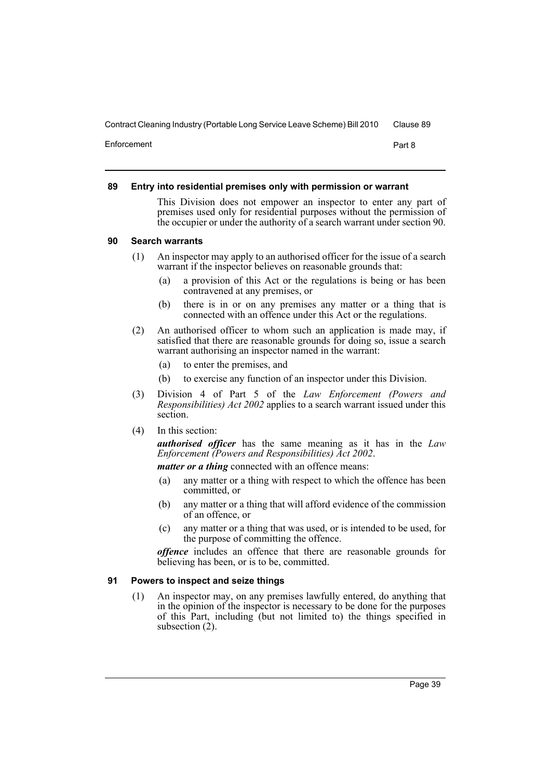Enforcement Part 8

### <span id="page-44-0"></span>**89 Entry into residential premises only with permission or warrant**

This Division does not empower an inspector to enter any part of premises used only for residential purposes without the permission of the occupier or under the authority of a search warrant under section 90.

### <span id="page-44-1"></span>**90 Search warrants**

- (1) An inspector may apply to an authorised officer for the issue of a search warrant if the inspector believes on reasonable grounds that:
	- (a) a provision of this Act or the regulations is being or has been contravened at any premises, or
	- (b) there is in or on any premises any matter or a thing that is connected with an offence under this Act or the regulations.
- (2) An authorised officer to whom such an application is made may, if satisfied that there are reasonable grounds for doing so, issue a search warrant authorising an inspector named in the warrant:
	- (a) to enter the premises, and
	- (b) to exercise any function of an inspector under this Division.
- (3) Division 4 of Part 5 of the *Law Enforcement (Powers and Responsibilities) Act 2002* applies to a search warrant issued under this section.
- (4) In this section:

*authorised officer* has the same meaning as it has in the *Law Enforcement (Powers and Responsibilities) Act 2002*.

*matter or a thing* connected with an offence means:

- (a) any matter or a thing with respect to which the offence has been committed, or
- (b) any matter or a thing that will afford evidence of the commission of an offence, or
- (c) any matter or a thing that was used, or is intended to be used, for the purpose of committing the offence.

*offence* includes an offence that there are reasonable grounds for believing has been, or is to be, committed.

### <span id="page-44-2"></span>**91 Powers to inspect and seize things**

(1) An inspector may, on any premises lawfully entered, do anything that in the opinion of the inspector is necessary to be done for the purposes of this Part, including (but not limited to) the things specified in subsection  $(2)$ .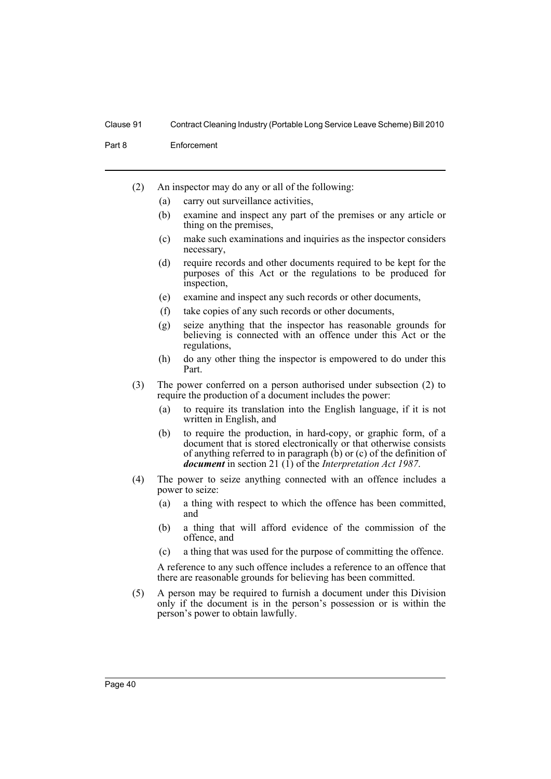Part 8 Enforcement

- (2) An inspector may do any or all of the following:
	- (a) carry out surveillance activities,
	- (b) examine and inspect any part of the premises or any article or thing on the premises,
	- (c) make such examinations and inquiries as the inspector considers necessary,
	- (d) require records and other documents required to be kept for the purposes of this Act or the regulations to be produced for inspection,
	- (e) examine and inspect any such records or other documents,
	- (f) take copies of any such records or other documents,
	- (g) seize anything that the inspector has reasonable grounds for believing is connected with an offence under this Act or the regulations,
	- (h) do any other thing the inspector is empowered to do under this Part.
- (3) The power conferred on a person authorised under subsection (2) to require the production of a document includes the power:
	- (a) to require its translation into the English language, if it is not written in English, and
	- (b) to require the production, in hard-copy, or graphic form, of a document that is stored electronically or that otherwise consists of anything referred to in paragraph (b) or (c) of the definition of *document* in section 21 (1) of the *Interpretation Act 1987*.
- (4) The power to seize anything connected with an offence includes a power to seize:
	- (a) a thing with respect to which the offence has been committed, and
	- (b) a thing that will afford evidence of the commission of the offence, and
	- (c) a thing that was used for the purpose of committing the offence.

A reference to any such offence includes a reference to an offence that there are reasonable grounds for believing has been committed.

(5) A person may be required to furnish a document under this Division only if the document is in the person's possession or is within the person's power to obtain lawfully.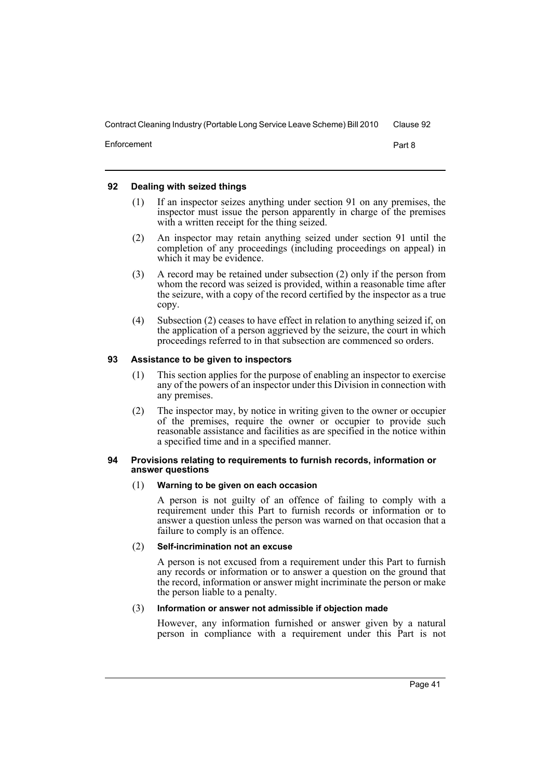Enforcement Part 8

#### <span id="page-46-0"></span>**92 Dealing with seized things**

- (1) If an inspector seizes anything under section 91 on any premises, the inspector must issue the person apparently in charge of the premises with a written receipt for the thing seized.
- (2) An inspector may retain anything seized under section 91 until the completion of any proceedings (including proceedings on appeal) in which it may be evidence.
- (3) A record may be retained under subsection (2) only if the person from whom the record was seized is provided, within a reasonable time after the seizure, with a copy of the record certified by the inspector as a true copy.
- (4) Subsection (2) ceases to have effect in relation to anything seized if, on the application of a person aggrieved by the seizure, the court in which proceedings referred to in that subsection are commenced so orders.

### <span id="page-46-1"></span>**93 Assistance to be given to inspectors**

- (1) This section applies for the purpose of enabling an inspector to exercise any of the powers of an inspector under this Division in connection with any premises.
- (2) The inspector may, by notice in writing given to the owner or occupier of the premises, require the owner or occupier to provide such reasonable assistance and facilities as are specified in the notice within a specified time and in a specified manner.

#### <span id="page-46-2"></span>**94 Provisions relating to requirements to furnish records, information or answer questions**

#### (1) **Warning to be given on each occasion**

A person is not guilty of an offence of failing to comply with a requirement under this Part to furnish records or information or to answer a question unless the person was warned on that occasion that a failure to comply is an offence.

#### (2) **Self-incrimination not an excuse**

A person is not excused from a requirement under this Part to furnish any records or information or to answer a question on the ground that the record, information or answer might incriminate the person or make the person liable to a penalty.

#### (3) **Information or answer not admissible if objection made**

However, any information furnished or answer given by a natural person in compliance with a requirement under this Part is not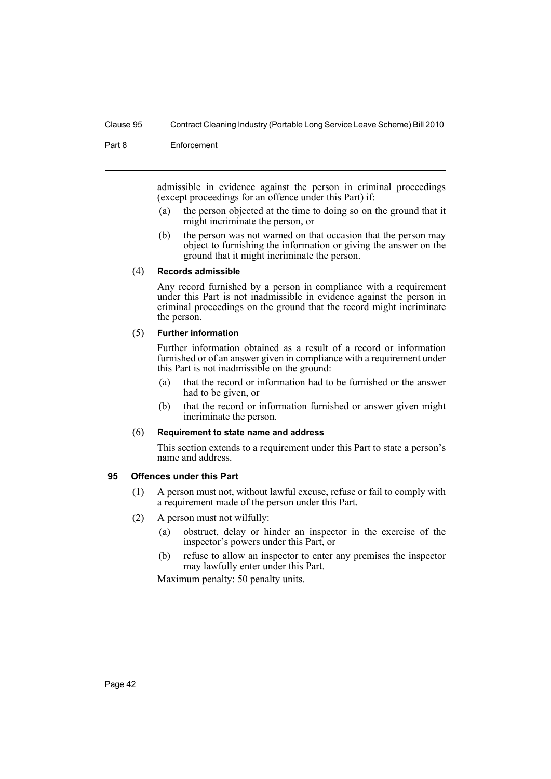Part 8 Enforcement

admissible in evidence against the person in criminal proceedings (except proceedings for an offence under this Part) if:

- (a) the person objected at the time to doing so on the ground that it might incriminate the person, or
- (b) the person was not warned on that occasion that the person may object to furnishing the information or giving the answer on the ground that it might incriminate the person.

#### (4) **Records admissible**

Any record furnished by a person in compliance with a requirement under this Part is not inadmissible in evidence against the person in criminal proceedings on the ground that the record might incriminate the person.

### (5) **Further information**

Further information obtained as a result of a record or information furnished or of an answer given in compliance with a requirement under this Part is not inadmissible on the ground:

- (a) that the record or information had to be furnished or the answer had to be given, or
- (b) that the record or information furnished or answer given might incriminate the person.

#### (6) **Requirement to state name and address**

This section extends to a requirement under this Part to state a person's name and address.

#### <span id="page-47-0"></span>**95 Offences under this Part**

- (1) A person must not, without lawful excuse, refuse or fail to comply with a requirement made of the person under this Part.
- (2) A person must not wilfully:
	- (a) obstruct, delay or hinder an inspector in the exercise of the inspector's powers under this Part, or
	- (b) refuse to allow an inspector to enter any premises the inspector may lawfully enter under this Part.

Maximum penalty: 50 penalty units.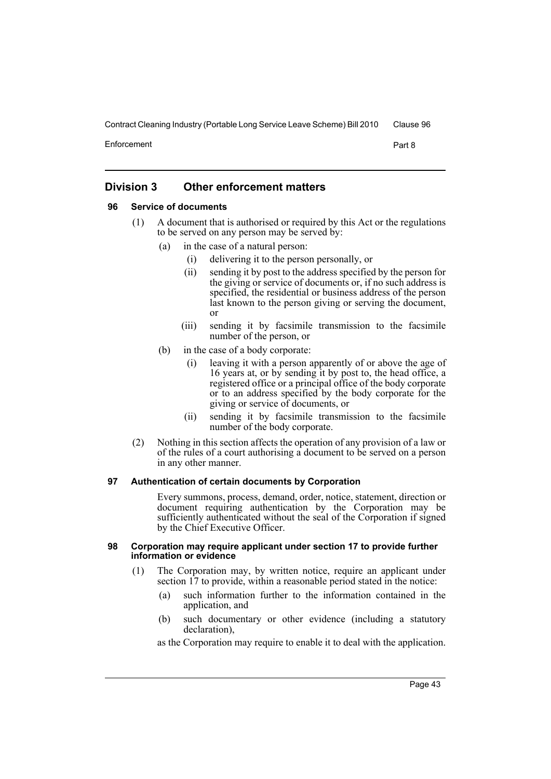Enforcement Part 8

# <span id="page-48-0"></span>**Division 3 Other enforcement matters**

# <span id="page-48-1"></span>**96 Service of documents**

- (1) A document that is authorised or required by this Act or the regulations to be served on any person may be served by:
	- (a) in the case of a natural person:
		- (i) delivering it to the person personally, or
		- (ii) sending it by post to the address specified by the person for the giving or service of documents or, if no such address is specified, the residential or business address of the person last known to the person giving or serving the document, or
		- (iii) sending it by facsimile transmission to the facsimile number of the person, or
	- (b) in the case of a body corporate:
		- (i) leaving it with a person apparently of or above the age of 16 years at, or by sending it by post to, the head office, a registered office or a principal office of the body corporate or to an address specified by the body corporate for the giving or service of documents, or
		- (ii) sending it by facsimile transmission to the facsimile number of the body corporate.
- (2) Nothing in this section affects the operation of any provision of a law or of the rules of a court authorising a document to be served on a person in any other manner.

### <span id="page-48-2"></span>**97 Authentication of certain documents by Corporation**

Every summons, process, demand, order, notice, statement, direction or document requiring authentication by the Corporation may be sufficiently authenticated without the seal of the Corporation if signed by the Chief Executive Officer.

#### <span id="page-48-3"></span>**98 Corporation may require applicant under section 17 to provide further information or evidence**

- (1) The Corporation may, by written notice, require an applicant under section 17 to provide, within a reasonable period stated in the notice:
	- (a) such information further to the information contained in the application, and
	- (b) such documentary or other evidence (including a statutory declaration),

as the Corporation may require to enable it to deal with the application.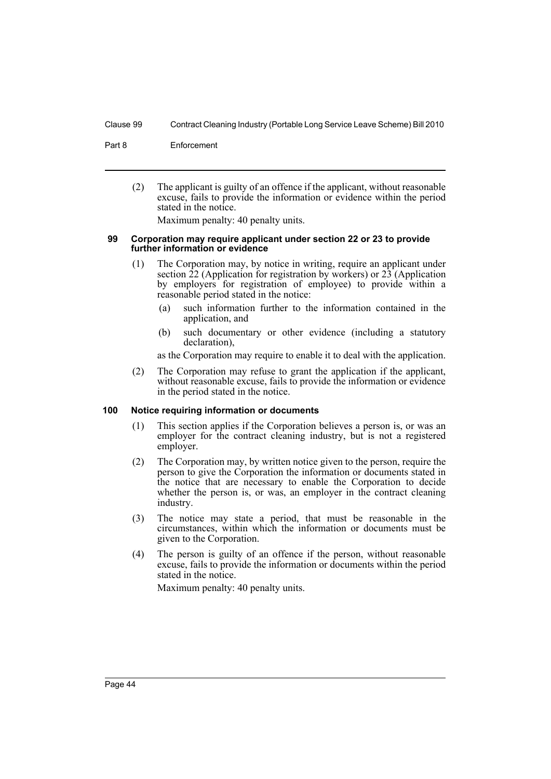#### Part 8 Enforcement

(2) The applicant is guilty of an offence if the applicant, without reasonable excuse, fails to provide the information or evidence within the period stated in the notice.

Maximum penalty: 40 penalty units.

#### <span id="page-49-0"></span>**99 Corporation may require applicant under section 22 or 23 to provide further information or evidence**

- (1) The Corporation may, by notice in writing, require an applicant under section  $\overline{22}$  (Application for registration by workers) or  $\overline{23}$  (Application by employers for registration of employee) to provide within a reasonable period stated in the notice:
	- (a) such information further to the information contained in the application, and
	- (b) such documentary or other evidence (including a statutory declaration),

as the Corporation may require to enable it to deal with the application.

(2) The Corporation may refuse to grant the application if the applicant, without reasonable excuse, fails to provide the information or evidence in the period stated in the notice.

#### <span id="page-49-1"></span>**100 Notice requiring information or documents**

- (1) This section applies if the Corporation believes a person is, or was an employer for the contract cleaning industry, but is not a registered employer.
- (2) The Corporation may, by written notice given to the person, require the person to give the Corporation the information or documents stated in the notice that are necessary to enable the Corporation to decide whether the person is, or was, an employer in the contract cleaning industry.
- (3) The notice may state a period, that must be reasonable in the circumstances, within which the information or documents must be given to the Corporation.
- (4) The person is guilty of an offence if the person, without reasonable excuse, fails to provide the information or documents within the period stated in the notice.

Maximum penalty: 40 penalty units.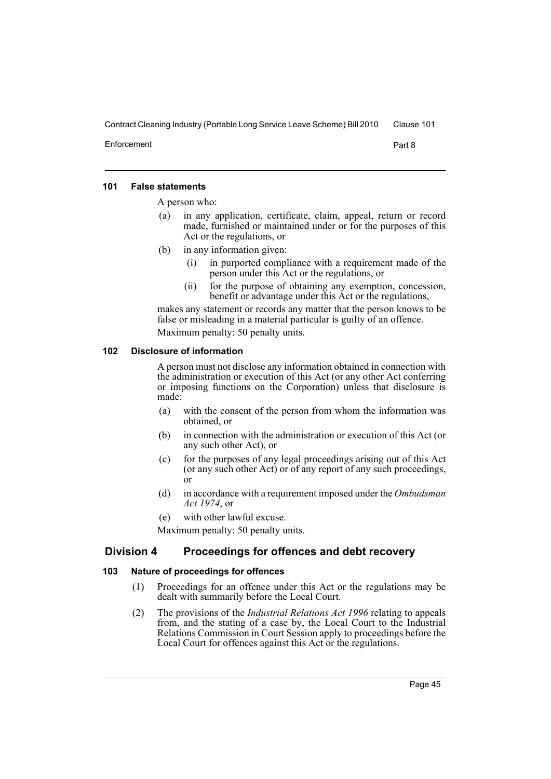Enforcement Part 8

### <span id="page-50-0"></span>**101 False statements**

A person who:

- (a) in any application, certificate, claim, appeal, return or record made, furnished or maintained under or for the purposes of this Act or the regulations, or
- (b) in any information given:
	- (i) in purported compliance with a requirement made of the person under this Act or the regulations, or
	- (ii) for the purpose of obtaining any exemption, concession, benefit or advantage under this Act or the regulations,

makes any statement or records any matter that the person knows to be false or misleading in a material particular is guilty of an offence.

Maximum penalty: 50 penalty units.

# <span id="page-50-1"></span>**102 Disclosure of information**

A person must not disclose any information obtained in connection with the administration or execution of this Act (or any other Act conferring or imposing functions on the Corporation) unless that disclosure is made:

- (a) with the consent of the person from whom the information was obtained, or
- (b) in connection with the administration or execution of this Act (or any such other Act), or
- (c) for the purposes of any legal proceedings arising out of this Act (or any such other Act) or of any report of any such proceedings, or
- (d) in accordance with a requirement imposed under the *Ombudsman Act 1974*, or
- (e) with other lawful excuse.

Maximum penalty: 50 penalty units.

# <span id="page-50-2"></span>**Division 4 Proceedings for offences and debt recovery**

# <span id="page-50-3"></span>**103 Nature of proceedings for offences**

- (1) Proceedings for an offence under this Act or the regulations may be dealt with summarily before the Local Court.
- (2) The provisions of the *Industrial Relations Act 1996* relating to appeals from, and the stating of a case by, the Local Court to the Industrial Relations Commission in Court Session apply to proceedings before the Local Court for offences against this Act or the regulations.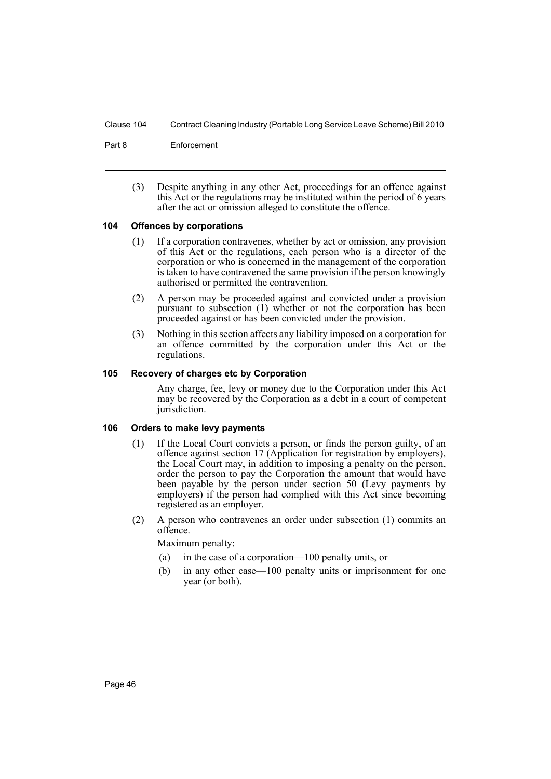Part 8 Enforcement

(3) Despite anything in any other Act, proceedings for an offence against this Act or the regulations may be instituted within the period of 6 years after the act or omission alleged to constitute the offence.

# <span id="page-51-0"></span>**104 Offences by corporations**

- (1) If a corporation contravenes, whether by act or omission, any provision of this Act or the regulations, each person who is a director of the corporation or who is concerned in the management of the corporation is taken to have contravened the same provision if the person knowingly authorised or permitted the contravention.
- (2) A person may be proceeded against and convicted under a provision pursuant to subsection (1) whether or not the corporation has been proceeded against or has been convicted under the provision.
- (3) Nothing in this section affects any liability imposed on a corporation for an offence committed by the corporation under this Act or the regulations.

#### <span id="page-51-1"></span>**105 Recovery of charges etc by Corporation**

Any charge, fee, levy or money due to the Corporation under this Act may be recovered by the Corporation as a debt in a court of competent jurisdiction.

#### <span id="page-51-2"></span>**106 Orders to make levy payments**

- (1) If the Local Court convicts a person, or finds the person guilty, of an offence against section 17 (Application for registration by employers), the Local Court may, in addition to imposing a penalty on the person, order the person to pay the Corporation the amount that would have been payable by the person under section 50 (Levy payments by employers) if the person had complied with this Act since becoming registered as an employer.
- (2) A person who contravenes an order under subsection (1) commits an offence.

Maximum penalty:

- (a) in the case of a corporation—100 penalty units, or
- (b) in any other case—100 penalty units or imprisonment for one year (or both).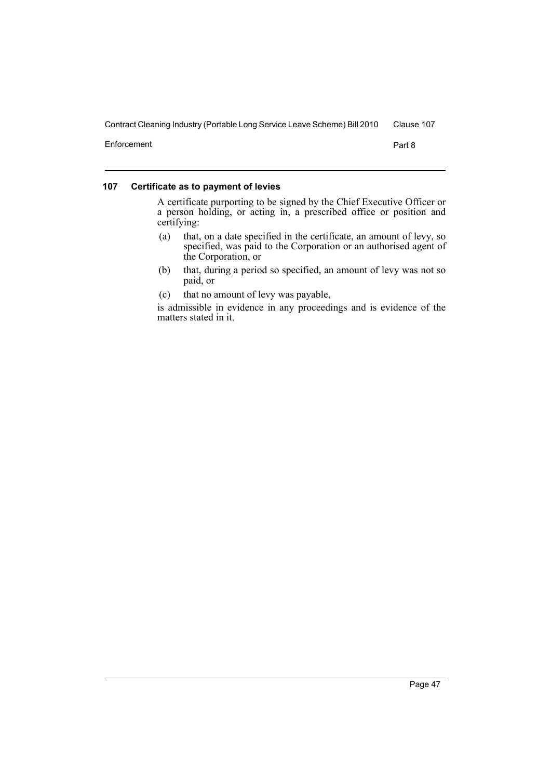Enforcement Part 8

# <span id="page-52-0"></span>**107 Certificate as to payment of levies**

A certificate purporting to be signed by the Chief Executive Officer or a person holding, or acting in, a prescribed office or position and certifying:

- (a) that, on a date specified in the certificate, an amount of levy, so specified, was paid to the Corporation or an authorised agent of the Corporation, or
- (b) that, during a period so specified, an amount of levy was not so paid, or
- (c) that no amount of levy was payable,

is admissible in evidence in any proceedings and is evidence of the matters stated in it.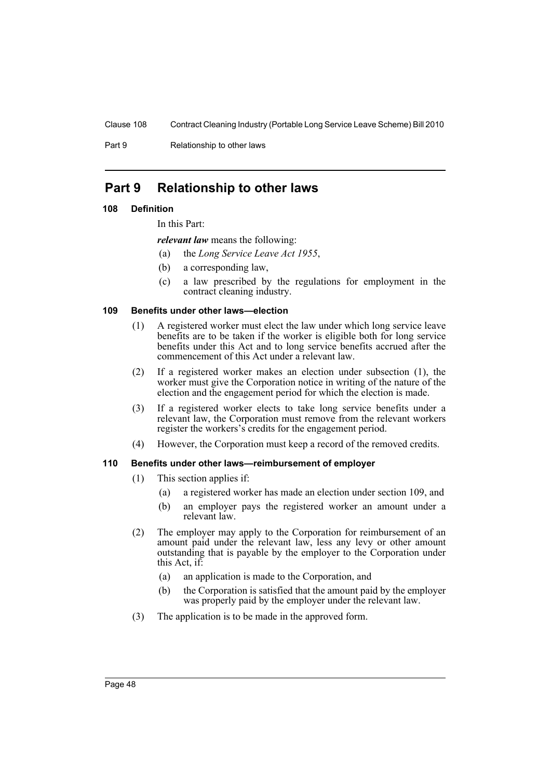Part 9 Relationship to other laws

# <span id="page-53-0"></span>**Part 9 Relationship to other laws**

# <span id="page-53-1"></span>**108 Definition**

In this Part:

*relevant law* means the following:

- (a) the *Long Service Leave Act 1955*,
- (b) a corresponding law,
- (c) a law prescribed by the regulations for employment in the contract cleaning industry.

# <span id="page-53-2"></span>**109 Benefits under other laws—election**

- (1) A registered worker must elect the law under which long service leave benefits are to be taken if the worker is eligible both for long service benefits under this Act and to long service benefits accrued after the commencement of this Act under a relevant law.
- (2) If a registered worker makes an election under subsection (1), the worker must give the Corporation notice in writing of the nature of the election and the engagement period for which the election is made.
- (3) If a registered worker elects to take long service benefits under a relevant law, the Corporation must remove from the relevant workers register the workers's credits for the engagement period.
- (4) However, the Corporation must keep a record of the removed credits.

# <span id="page-53-3"></span>**110 Benefits under other laws—reimbursement of employer**

- (1) This section applies if:
	- (a) a registered worker has made an election under section 109, and
	- (b) an employer pays the registered worker an amount under a relevant law.
- (2) The employer may apply to the Corporation for reimbursement of an amount paid under the relevant law, less any levy or other amount outstanding that is payable by the employer to the Corporation under this Act, if:
	- (a) an application is made to the Corporation, and
	- (b) the Corporation is satisfied that the amount paid by the employer was properly paid by the employer under the relevant law.
- (3) The application is to be made in the approved form.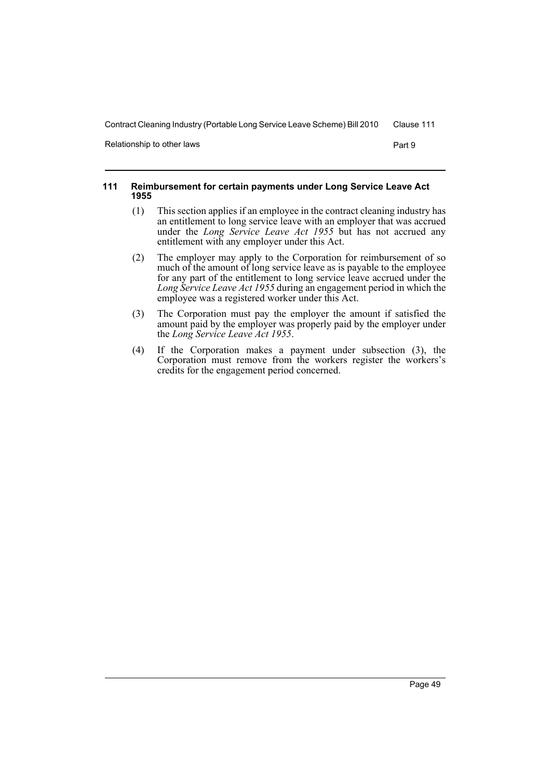Relationship to other laws **Part 9** Part 9

#### <span id="page-54-0"></span>**111 Reimbursement for certain payments under Long Service Leave Act 1955**

- (1) This section applies if an employee in the contract cleaning industry has an entitlement to long service leave with an employer that was accrued under the *Long Service Leave Act 1955* but has not accrued any entitlement with any employer under this Act.
- (2) The employer may apply to the Corporation for reimbursement of so much of the amount of long service leave as is payable to the employee for any part of the entitlement to long service leave accrued under the *Long Service Leave Act 1955* during an engagement period in which the employee was a registered worker under this Act.
- (3) The Corporation must pay the employer the amount if satisfied the amount paid by the employer was properly paid by the employer under the *Long Service Leave Act 1955*.
- (4) If the Corporation makes a payment under subsection (3), the Corporation must remove from the workers register the workers's credits for the engagement period concerned.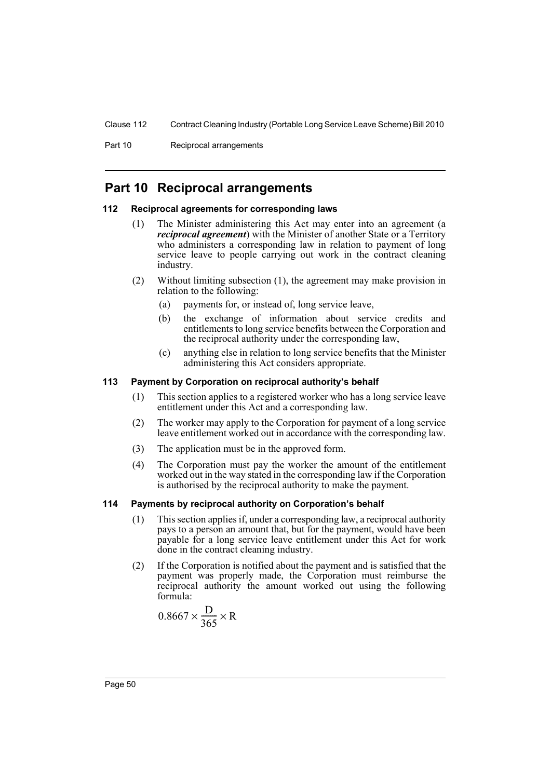Part 10 Reciprocal arrangements

# <span id="page-55-0"></span>**Part 10 Reciprocal arrangements**

#### <span id="page-55-1"></span>**112 Reciprocal agreements for corresponding laws**

- (1) The Minister administering this Act may enter into an agreement (a *reciprocal agreement*) with the Minister of another State or a Territory who administers a corresponding law in relation to payment of long service leave to people carrying out work in the contract cleaning industry.
- (2) Without limiting subsection (1), the agreement may make provision in relation to the following:
	- (a) payments for, or instead of, long service leave,
	- (b) the exchange of information about service credits and entitlements to long service benefits between the Corporation and the reciprocal authority under the corresponding law,
	- (c) anything else in relation to long service benefits that the Minister administering this Act considers appropriate.

#### <span id="page-55-2"></span>**113 Payment by Corporation on reciprocal authority's behalf**

- (1) This section applies to a registered worker who has a long service leave entitlement under this Act and a corresponding law.
- (2) The worker may apply to the Corporation for payment of a long service leave entitlement worked out in accordance with the corresponding law.
- (3) The application must be in the approved form.
- (4) The Corporation must pay the worker the amount of the entitlement worked out in the way stated in the corresponding law if the Corporation is authorised by the reciprocal authority to make the payment.

#### <span id="page-55-3"></span>**114 Payments by reciprocal authority on Corporation's behalf**

- (1) This section applies if, under a corresponding law, a reciprocal authority pays to a person an amount that, but for the payment, would have been payable for a long service leave entitlement under this Act for work done in the contract cleaning industry.
- (2) If the Corporation is notified about the payment and is satisfied that the payment was properly made, the Corporation must reimburse the reciprocal authority the amount worked out using the following formula:

$$
0.8667 \times \frac{D}{365} \times R
$$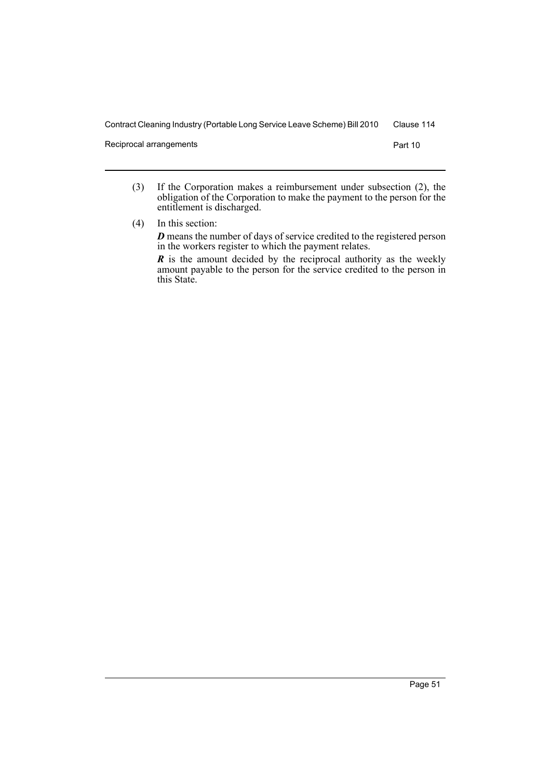Reciprocal arrangements **Part 10** 

(3) If the Corporation makes a reimbursement under subsection (2), the obligation of the Corporation to make the payment to the person for the entitlement is discharged.

(4) In this section: *D* means the number of days of service credited to the registered person in the workers register to which the payment relates. *R* is the amount decided by the reciprocal authority as the weekly

amount payable to the person for the service credited to the person in this State.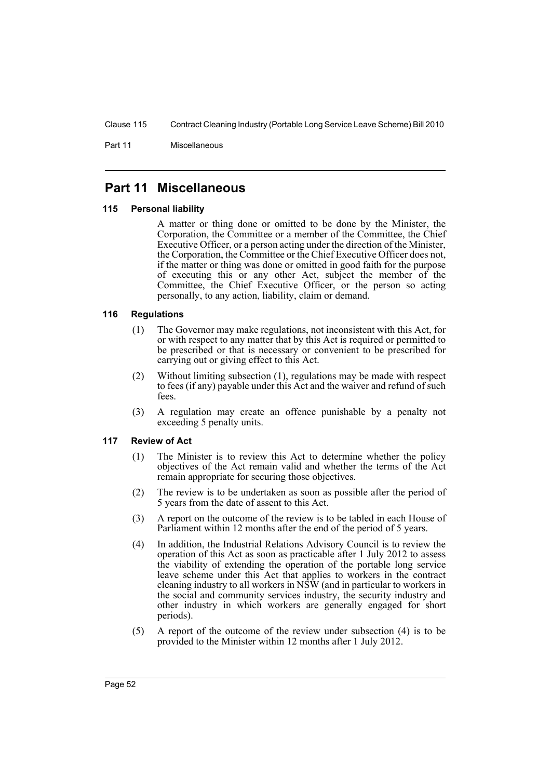Part 11 Miscellaneous

# <span id="page-57-0"></span>**Part 11 Miscellaneous**

# <span id="page-57-1"></span>**115 Personal liability**

A matter or thing done or omitted to be done by the Minister, the Corporation, the Committee or a member of the Committee, the Chief Executive Officer, or a person acting under the direction of the Minister, the Corporation, the Committee or the Chief Executive Officer does not, if the matter or thing was done or omitted in good faith for the purpose of executing this or any other Act, subject the member of the Committee, the Chief Executive Officer, or the person so acting personally, to any action, liability, claim or demand.

# <span id="page-57-2"></span>**116 Regulations**

- (1) The Governor may make regulations, not inconsistent with this Act, for or with respect to any matter that by this Act is required or permitted to be prescribed or that is necessary or convenient to be prescribed for carrying out or giving effect to this Act.
- (2) Without limiting subsection (1), regulations may be made with respect to fees (if any) payable under this Act and the waiver and refund of such fees.
- (3) A regulation may create an offence punishable by a penalty not exceeding 5 penalty units.

# <span id="page-57-3"></span>**117 Review of Act**

- (1) The Minister is to review this Act to determine whether the policy objectives of the Act remain valid and whether the terms of the Act remain appropriate for securing those objectives.
- (2) The review is to be undertaken as soon as possible after the period of 5 years from the date of assent to this Act.
- (3) A report on the outcome of the review is to be tabled in each House of Parliament within 12 months after the end of the period of 5 years.
- (4) In addition, the Industrial Relations Advisory Council is to review the operation of this Act as soon as practicable after 1 July 2012 to assess the viability of extending the operation of the portable long service leave scheme under this Act that applies to workers in the contract cleaning industry to all workers in NSW (and in particular to workers in the social and community services industry, the security industry and other industry in which workers are generally engaged for short periods).
- (5) A report of the outcome of the review under subsection (4) is to be provided to the Minister within 12 months after 1 July 2012.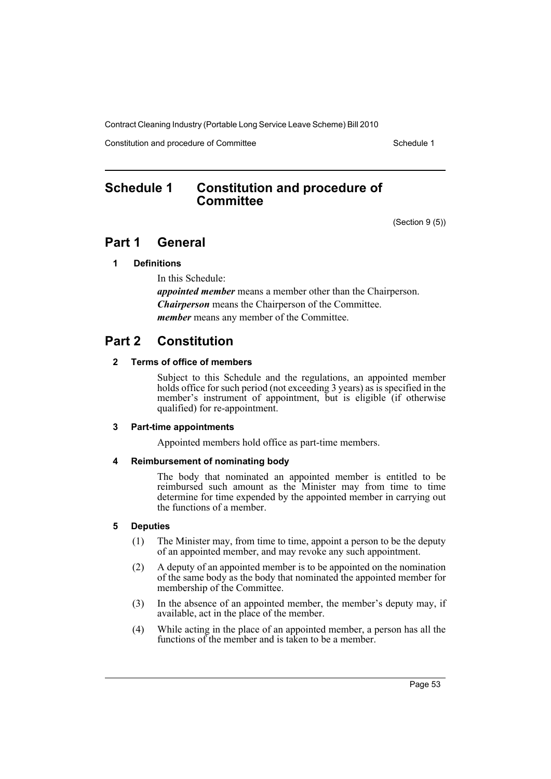Constitution and procedure of Committee Schedule 1

# <span id="page-58-0"></span>**Schedule 1 Constitution and procedure of Committee**

(Section 9 (5))

# **Part 1 General**

# **1 Definitions**

In this Schedule: *appointed member* means a member other than the Chairperson. *Chairperson* means the Chairperson of the Committee. *member* means any member of the Committee.

# **Part 2 Constitution**

# **2 Terms of office of members**

Subject to this Schedule and the regulations, an appointed member holds office for such period (not exceeding 3 years) as is specified in the member's instrument of appointment, but is eligible (if otherwise qualified) for re-appointment.

# **3 Part-time appointments**

Appointed members hold office as part-time members.

# **4 Reimbursement of nominating body**

The body that nominated an appointed member is entitled to be reimbursed such amount as the Minister may from time to time determine for time expended by the appointed member in carrying out the functions of a member.

# **5 Deputies**

- (1) The Minister may, from time to time, appoint a person to be the deputy of an appointed member, and may revoke any such appointment.
- (2) A deputy of an appointed member is to be appointed on the nomination of the same body as the body that nominated the appointed member for membership of the Committee.
- (3) In the absence of an appointed member, the member's deputy may, if available, act in the place of the member.
- (4) While acting in the place of an appointed member, a person has all the functions of the member and is taken to be a member.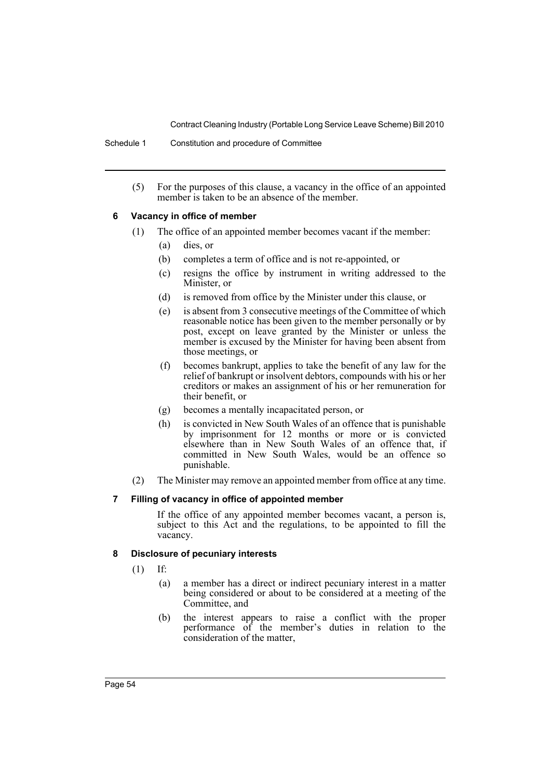Schedule 1 Constitution and procedure of Committee

(5) For the purposes of this clause, a vacancy in the office of an appointed member is taken to be an absence of the member.

# **6 Vacancy in office of member**

- (1) The office of an appointed member becomes vacant if the member:
	- (a) dies, or
	- (b) completes a term of office and is not re-appointed, or
	- (c) resigns the office by instrument in writing addressed to the Minister, or
	- (d) is removed from office by the Minister under this clause, or
	- (e) is absent from 3 consecutive meetings of the Committee of which reasonable notice has been given to the member personally or by post, except on leave granted by the Minister or unless the member is excused by the Minister for having been absent from those meetings, or
	- (f) becomes bankrupt, applies to take the benefit of any law for the relief of bankrupt or insolvent debtors, compounds with his or her creditors or makes an assignment of his or her remuneration for their benefit, or
	- (g) becomes a mentally incapacitated person, or
	- (h) is convicted in New South Wales of an offence that is punishable by imprisonment for 12 months or more or is convicted elsewhere than in New South Wales of an offence that, if committed in New South Wales, would be an offence so punishable.
- (2) The Minister may remove an appointed member from office at any time.

# **7 Filling of vacancy in office of appointed member**

If the office of any appointed member becomes vacant, a person is, subject to this Act and the regulations, to be appointed to fill the vacancy.

# **8 Disclosure of pecuniary interests**

- (1) If:
	- (a) a member has a direct or indirect pecuniary interest in a matter being considered or about to be considered at a meeting of the Committee, and
	- (b) the interest appears to raise a conflict with the proper performance of the member's duties in relation to the consideration of the matter,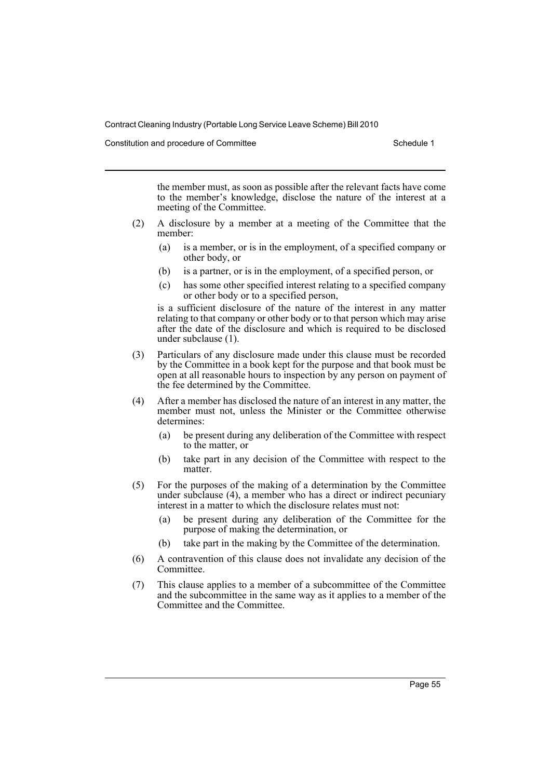Constitution and procedure of Committee **Schedule 1** Schedule 1

the member must, as soon as possible after the relevant facts have come to the member's knowledge, disclose the nature of the interest at a meeting of the Committee.

- (2) A disclosure by a member at a meeting of the Committee that the member:
	- (a) is a member, or is in the employment, of a specified company or other body, or
	- (b) is a partner, or is in the employment, of a specified person, or
	- (c) has some other specified interest relating to a specified company or other body or to a specified person,

is a sufficient disclosure of the nature of the interest in any matter relating to that company or other body or to that person which may arise after the date of the disclosure and which is required to be disclosed under subclause (1).

- (3) Particulars of any disclosure made under this clause must be recorded by the Committee in a book kept for the purpose and that book must be open at all reasonable hours to inspection by any person on payment of the fee determined by the Committee.
- (4) After a member has disclosed the nature of an interest in any matter, the member must not, unless the Minister or the Committee otherwise determines:
	- (a) be present during any deliberation of the Committee with respect to the matter, or
	- (b) take part in any decision of the Committee with respect to the matter.
- (5) For the purposes of the making of a determination by the Committee under subclause (4), a member who has a direct or indirect pecuniary interest in a matter to which the disclosure relates must not:
	- (a) be present during any deliberation of the Committee for the purpose of making the determination, or
	- (b) take part in the making by the Committee of the determination.
- (6) A contravention of this clause does not invalidate any decision of the **Committee**
- (7) This clause applies to a member of a subcommittee of the Committee and the subcommittee in the same way as it applies to a member of the Committee and the Committee.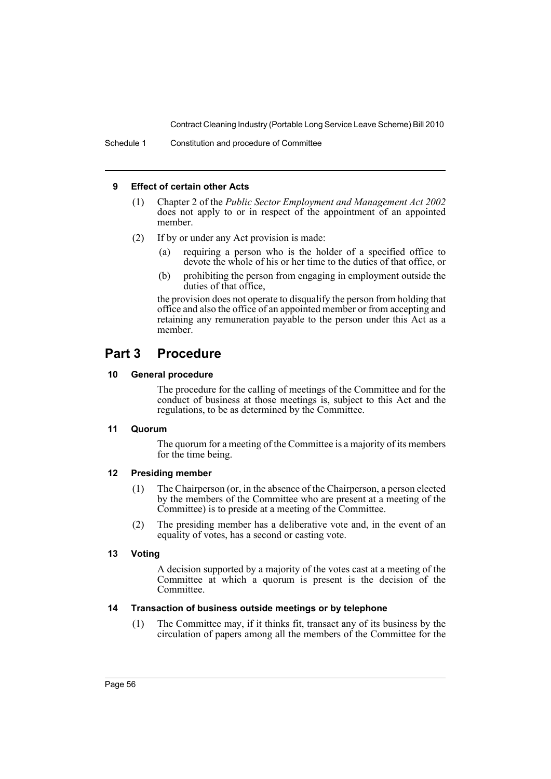# **9 Effect of certain other Acts**

- (1) Chapter 2 of the *Public Sector Employment and Management Act 2002*  $\frac{1}{\sqrt{2}}$  does not apply to or in respect of the appointment of an appointed member.
- (2) If by or under any Act provision is made:
	- (a) requiring a person who is the holder of a specified office to devote the whole of his or her time to the duties of that office, or
	- (b) prohibiting the person from engaging in employment outside the duties of that office,

the provision does not operate to disqualify the person from holding that office and also the office of an appointed member or from accepting and retaining any remuneration payable to the person under this Act as a member.

# **Part 3 Procedure**

# **10 General procedure**

The procedure for the calling of meetings of the Committee and for the conduct of business at those meetings is, subject to this Act and the regulations, to be as determined by the Committee.

# **11 Quorum**

The quorum for a meeting of the Committee is a majority of its members for the time being.

# **12 Presiding member**

- (1) The Chairperson (or, in the absence of the Chairperson, a person elected by the members of the Committee who are present at a meeting of the Committee) is to preside at a meeting of the Committee.
- (2) The presiding member has a deliberative vote and, in the event of an equality of votes, has a second or casting vote.

# **13 Voting**

A decision supported by a majority of the votes cast at a meeting of the Committee at which a quorum is present is the decision of the Committee.

# **14 Transaction of business outside meetings or by telephone**

(1) The Committee may, if it thinks fit, transact any of its business by the circulation of papers among all the members of the Committee for the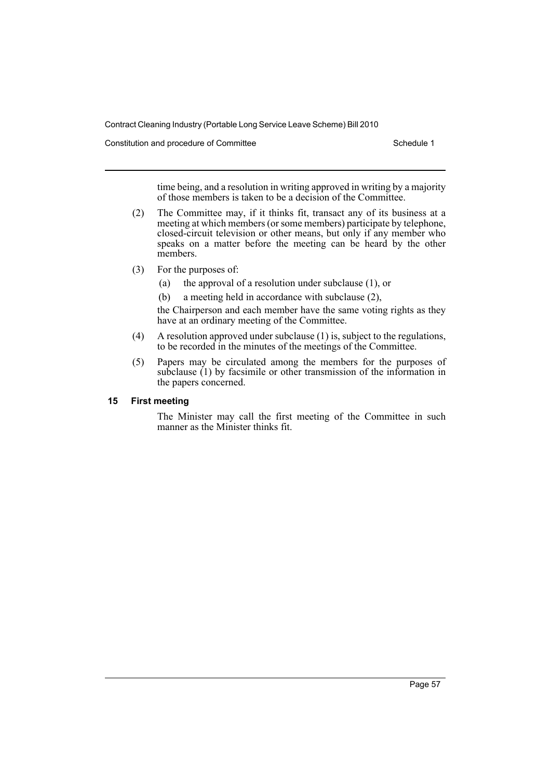Constitution and procedure of Committee Schedule 1

time being, and a resolution in writing approved in writing by a majority of those members is taken to be a decision of the Committee.

- (2) The Committee may, if it thinks fit, transact any of its business at a meeting at which members (or some members) participate by telephone, closed-circuit television or other means, but only if any member who speaks on a matter before the meeting can be heard by the other members.
- (3) For the purposes of:
	- (a) the approval of a resolution under subclause (1), or
	- (b) a meeting held in accordance with subclause (2),

the Chairperson and each member have the same voting rights as they have at an ordinary meeting of the Committee.

- (4) A resolution approved under subclause (1) is, subject to the regulations, to be recorded in the minutes of the meetings of the Committee.
- (5) Papers may be circulated among the members for the purposes of subclause (1) by facsimile or other transmission of the information in the papers concerned.

# **15 First meeting**

The Minister may call the first meeting of the Committee in such manner as the Minister thinks fit.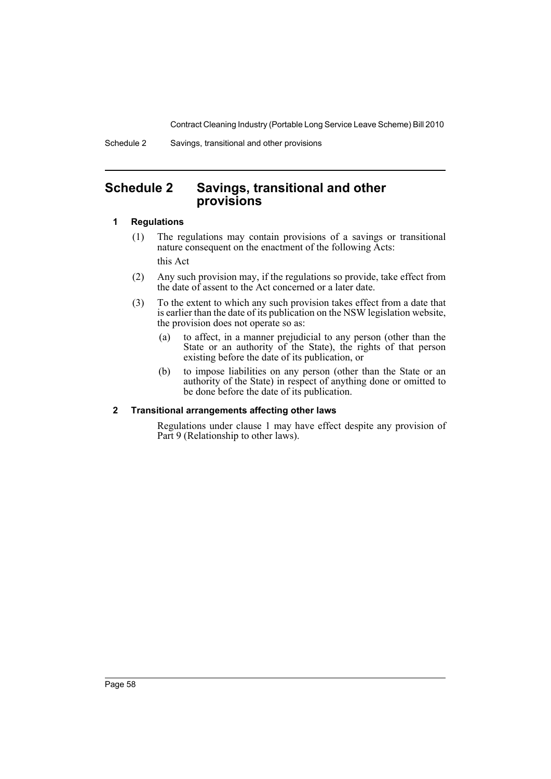Schedule 2 Savings, transitional and other provisions

# <span id="page-63-0"></span>**Schedule 2 Savings, transitional and other provisions**

# **1 Regulations**

- (1) The regulations may contain provisions of a savings or transitional nature consequent on the enactment of the following Acts: this Act
- (2) Any such provision may, if the regulations so provide, take effect from the date of assent to the Act concerned or a later date.
- (3) To the extent to which any such provision takes effect from a date that is earlier than the date of its publication on the NSW legislation website, the provision does not operate so as:
	- (a) to affect, in a manner prejudicial to any person (other than the State or an authority of the State), the rights of that person existing before the date of its publication, or
	- (b) to impose liabilities on any person (other than the State or an authority of the State) in respect of anything done or omitted to be done before the date of its publication.

# **2 Transitional arrangements affecting other laws**

Regulations under clause 1 may have effect despite any provision of Part 9 (Relationship to other laws).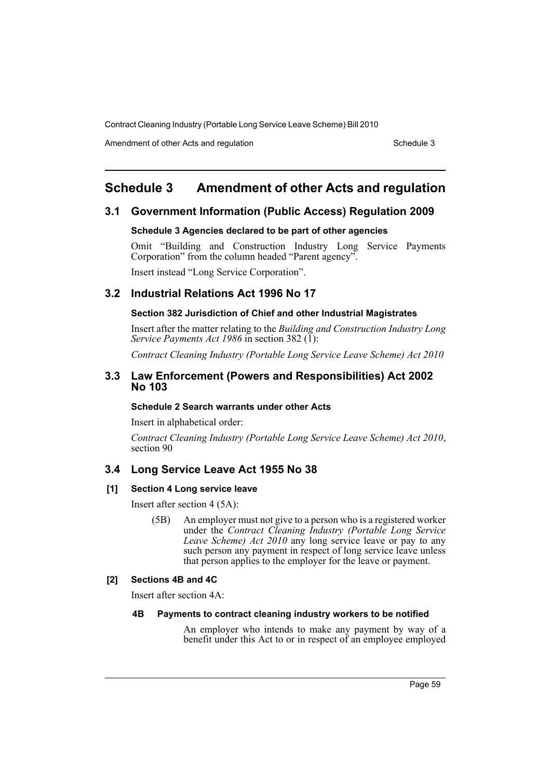Amendment of other Acts and regulation Schedule 3

# <span id="page-64-0"></span>**Schedule 3 Amendment of other Acts and regulation**

# **3.1 Government Information (Public Access) Regulation 2009**

# **Schedule 3 Agencies declared to be part of other agencies**

Omit "Building and Construction Industry Long Service Payments Corporation" from the column headed "Parent agency".

Insert instead "Long Service Corporation".

# **3.2 Industrial Relations Act 1996 No 17**

# **Section 382 Jurisdiction of Chief and other Industrial Magistrates**

Insert after the matter relating to the *Building and Construction Industry Long Service Payments Act 1986* in section 382 (1):

*Contract Cleaning Industry (Portable Long Service Leave Scheme) Act 2010*

# **3.3 Law Enforcement (Powers and Responsibilities) Act 2002 No 103**

#### **Schedule 2 Search warrants under other Acts**

Insert in alphabetical order:

*Contract Cleaning Industry (Portable Long Service Leave Scheme) Act 2010*, section 90

# **3.4 Long Service Leave Act 1955 No 38**

# **[1] Section 4 Long service leave**

Insert after section 4 (5A):

(5B) An employer must not give to a person who is a registered worker under the *Contract Cleaning Industry (Portable Long Service Leave Scheme) Act 2010* any long service leave or pay to any such person any payment in respect of long service leave unless that person applies to the employer for the leave or payment.

# **[2] Sections 4B and 4C**

Insert after section 4A:

# **4B Payments to contract cleaning industry workers to be notified**

An employer who intends to make any payment by way of a benefit under this Act to or in respect of an employee employed